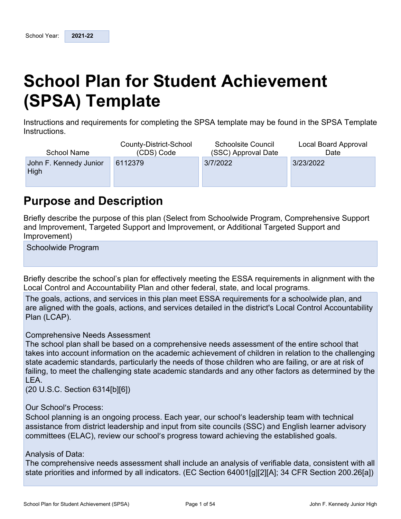# **School Plan for Student Achievement (SPSA) Template**

Instructions and requirements for completing the SPSA template may be found in the SPSA Template Instructions.

| <b>School Name</b>             | County-District-School | <b>Schoolsite Council</b> | Local Board Approval |
|--------------------------------|------------------------|---------------------------|----------------------|
|                                | (CDS) Code             | (SSC) Approval Date       | Date                 |
| John F. Kennedy Junior<br>High | 6112379                | 3/7/2022                  | 3/23/2022            |

## **Purpose and Description**

Briefly describe the purpose of this plan (Select from Schoolwide Program, Comprehensive Support and Improvement, Targeted Support and Improvement, or Additional Targeted Support and Improvement)

Schoolwide Program

Briefly describe the school's plan for effectively meeting the ESSA requirements in alignment with the Local Control and Accountability Plan and other federal, state, and local programs.

The goals, actions, and services in this plan meet ESSA requirements for a schoolwide plan, and are aligned with the goals, actions, and services detailed in the district's Local Control Accountability Plan (LCAP).

### Comprehensive Needs Assessment

The school plan shall be based on a comprehensive needs assessment of the entire school that takes into account information on the academic achievement of children in relation to the challenging state academic standards, particularly the needs of those children who are failing, or are at risk of failing, to meet the challenging state academic standards and any other factors as determined by the LEA.

(20 U.S.C. Section 6314[b][6])

Our School's Process:

School planning is an ongoing process. Each year, our school's leadership team with technical assistance from district leadership and input from site councils (SSC) and English learner advisory committees (ELAC), review our school's progress toward achieving the established goals.

### Analysis of Data:

The comprehensive needs assessment shall include an analysis of verifiable data, consistent with all state priorities and informed by all indicators. (EC Section 64001[g][2][A]; 34 CFR Section 200.26[a])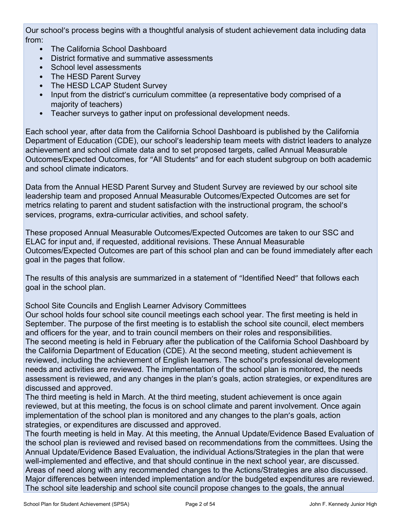Our school's process begins with a thoughtful analysis of student achievement data including data from:

- The California School Dashboard
- District formative and summative assessments
- School level assessments
- The HESD Parent Survey
- The HESD LCAP Student Survey
- Input from the district's curriculum committee (a representative body comprised of a majority of teachers)
- Teacher surveys to gather input on professional development needs.

Each school year, after data from the California School Dashboard is published by the California Department of Education (CDE), our school's leadership team meets with district leaders to analyze achievement and school climate data and to set proposed targets, called Annual Measurable Outcomes/Expected Outcomes, for "All Students" and for each student subgroup on both academic and school climate indicators.

Data from the Annual HESD Parent Survey and Student Survey are reviewed by our school site leadership team and proposed Annual Measurable Outcomes/Expected Outcomes are set for metrics relating to parent and student satisfaction with the instructional program, the school's services, programs, extra-curricular activities, and school safety.

These proposed Annual Measurable Outcomes/Expected Outcomes are taken to our SSC and ELAC for input and, if requested, additional revisions. These Annual Measurable Outcomes/Expected Outcomes are part of this school plan and can be found immediately after each goal in the pages that follow.

The results of this analysis are summarized in a statement of "Identified Need" that follows each goal in the school plan.

School Site Councils and English Learner Advisory Committees

Our school holds four school site council meetings each school year. The first meeting is held in September. The purpose of the first meeting is to establish the school site council, elect members and officers for the year, and to train council members on their roles and responsibilities. The second meeting is held in February after the publication of the California School Dashboard by the California Department of Education (CDE). At the second meeting, student achievement is reviewed, including the achievement of English learners. The school's professional development needs and activities are reviewed. The implementation of the school plan is monitored, the needs assessment is reviewed, and any changes in the plan's goals, action strategies, or expenditures are discussed and approved.

The third meeting is held in March. At the third meeting, student achievement is once again reviewed, but at this meeting, the focus is on school climate and parent involvement. Once again implementation of the school plan is monitored and any changes to the plan's goals, action strategies, or expenditures are discussed and approved.

The fourth meeting is held in May. At this meeting, the Annual Update/Evidence Based Evaluation of the school plan is reviewed and revised based on recommendations from the committees. Using the Annual Update/Evidence Based Evaluation, the individual Actions/Strategies in the plan that were well-implemented and effective, and that should continue in the next school year, are discussed. Areas of need along with any recommended changes to the Actions/Strategies are also discussed. Major differences between intended implementation and/or the budgeted expenditures are reviewed. The school site leadership and school site council propose changes to the goals, the annual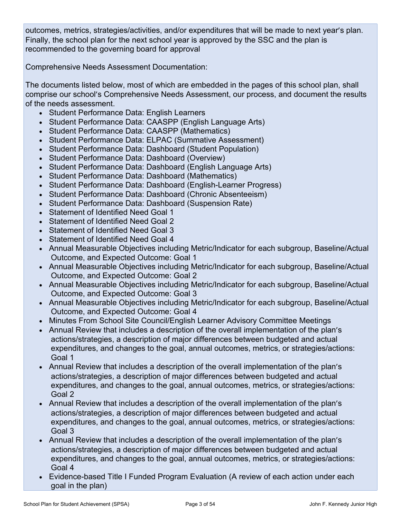outcomes, metrics, strategies/activities, and/or expenditures that will be made to next year's plan. Finally, the school plan for the next school year is approved by the SSC and the plan is recommended to the governing board for approval

Comprehensive Needs Assessment Documentation:

The documents listed below, most of which are embedded in the pages of this school plan, shall comprise our school's Comprehensive Needs Assessment, our process, and document the results of the needs assessment.

- Student Performance Data: English Learners
- Student Performance Data: CAASPP (English Language Arts)
- Student Performance Data: CAASPP (Mathematics)
- Student Performance Data: ELPAC (Summative Assessment)
- Student Performance Data: Dashboard (Student Population)
- Student Performance Data: Dashboard (Overview)
- Student Performance Data: Dashboard (English Language Arts)
- Student Performance Data: Dashboard (Mathematics)
- Student Performance Data: Dashboard (English-Learner Progress)
- Student Performance Data: Dashboard (Chronic Absenteeism)
- Student Performance Data: Dashboard (Suspension Rate)
- Statement of Identified Need Goal 1
- Statement of Identified Need Goal 2
- Statement of Identified Need Goal 3
- Statement of Identified Need Goal 4
- Annual Measurable Objectives including Metric/Indicator for each subgroup, Baseline/Actual Outcome, and Expected Outcome: Goal 1
- Annual Measurable Objectives including Metric/Indicator for each subgroup, Baseline/Actual Outcome, and Expected Outcome: Goal 2
- Annual Measurable Objectives including Metric/Indicator for each subgroup, Baseline/Actual Outcome, and Expected Outcome: Goal 3
- Annual Measurable Objectives including Metric/Indicator for each subgroup, Baseline/Actual Outcome, and Expected Outcome: Goal 4
- Minutes From School Site Council/English Learner Advisory Committee Meetings
- Annual Review that includes a description of the overall implementation of the plan's actions/strategies, a description of major differences between budgeted and actual expenditures, and changes to the goal, annual outcomes, metrics, or strategies/actions: Goal 1
- Annual Review that includes a description of the overall implementation of the plan's actions/strategies, a description of major differences between budgeted and actual expenditures, and changes to the goal, annual outcomes, metrics, or strategies/actions: Goal 2
- Annual Review that includes a description of the overall implementation of the plan's actions/strategies, a description of major differences between budgeted and actual expenditures, and changes to the goal, annual outcomes, metrics, or strategies/actions: Goal 3
- Annual Review that includes a description of the overall implementation of the plan's actions/strategies, a description of major differences between budgeted and actual expenditures, and changes to the goal, annual outcomes, metrics, or strategies/actions: Goal 4
- Evidence-based Title I Funded Program Evaluation (A review of each action under each goal in the plan)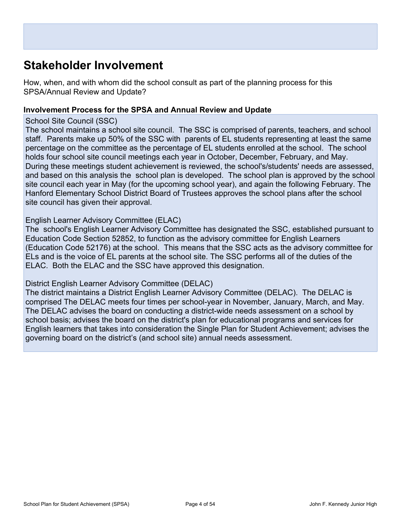## **Stakeholder Involvement**

How, when, and with whom did the school consult as part of the planning process for this SPSA/Annual Review and Update?

#### **Involvement Process for the SPSA and Annual Review and Update**

#### School Site Council (SSC)

The school maintains a school site council. The SSC is comprised of parents, teachers, and school staff. Parents make up 50% of the SSC with parents of EL students representing at least the same percentage on the committee as the percentage of EL students enrolled at the school. The school holds four school site council meetings each year in October, December, February, and May. During these meetings student achievement is reviewed, the school's/students' needs are assessed, and based on this analysis the school plan is developed. The school plan is approved by the school site council each year in May (for the upcoming school year), and again the following February. The Hanford Elementary School District Board of Trustees approves the school plans after the school site council has given their approval.

### English Learner Advisory Committee (ELAC)

The school's English Learner Advisory Committee has designated the SSC, established pursuant to Education Code Section 52852, to function as the advisory committee for English Learners (Education Code 52176) at the school. This means that the SSC acts as the advisory committee for ELs and is the voice of EL parents at the school site. The SSC performs all of the duties of the ELAC. Both the ELAC and the SSC have approved this designation.

### District English Learner Advisory Committee (DELAC)

The district maintains a District English Learner Advisory Committee (DELAC). The DELAC is comprised The DELAC meets four times per school-year in November, January, March, and May. The DELAC advises the board on conducting a district-wide needs assessment on a school by school basis; advises the board on the district's plan for educational programs and services for English learners that takes into consideration the Single Plan for Student Achievement; advises the governing board on the district's (and school site) annual needs assessment.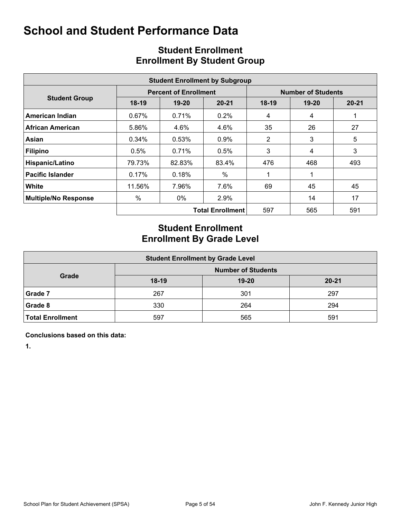|                             |         |                              | <b>Student Enrollment by Subgroup</b> |         |                           |           |
|-----------------------------|---------|------------------------------|---------------------------------------|---------|---------------------------|-----------|
|                             |         | <b>Percent of Enrollment</b> |                                       |         | <b>Number of Students</b> |           |
| <b>Student Group</b>        | $18-19$ | $19 - 20$                    | $20 - 21$                             | $18-19$ | $19 - 20$                 | $20 - 21$ |
| American Indian             | 0.67%   | 0.71%                        | $0.2\%$                               | 4       | 4                         | 1         |
| <b>African American</b>     | 5.86%   | 4.6%                         | 4.6%                                  | 35      | 26                        | 27        |
| Asian                       | 0.34%   | 0.53%                        | $0.9\%$                               | 2       | 3                         | 5         |
| <b>Filipino</b>             | 0.5%    | 0.71%                        | 0.5%                                  | 3       | 4                         | 3         |
| Hispanic/Latino             | 79.73%  | 82.83%                       | 83.4%                                 | 476     | 468                       | 493       |
| <b>Pacific Islander</b>     | 0.17%   | 0.18%                        | %                                     |         |                           |           |
| White                       | 11.56%  | 7.96%                        | 7.6%                                  | 69      | 45                        | 45        |
| <b>Multiple/No Response</b> | $\%$    | $0\%$                        | 2.9%                                  |         | 14                        | 17        |
|                             |         |                              | <b>Total Enrollment</b>               | 597     | 565                       | 591       |

## **Student Enrollment Enrollment By Student Group**

## **Student Enrollment Enrollment By Grade Level**

| <b>Student Enrollment by Grade Level</b> |         |           |           |  |  |  |  |  |  |  |  |  |
|------------------------------------------|---------|-----------|-----------|--|--|--|--|--|--|--|--|--|
| <b>Number of Students</b><br>Grade       |         |           |           |  |  |  |  |  |  |  |  |  |
|                                          | $18-19$ | $19 - 20$ | $20 - 21$ |  |  |  |  |  |  |  |  |  |
| Grade 7                                  | 267     | 301       | 297       |  |  |  |  |  |  |  |  |  |
| Grade 8                                  | 330     | 264       | 294       |  |  |  |  |  |  |  |  |  |
| <b>Total Enrollment</b>                  | 597     | 565       | 591       |  |  |  |  |  |  |  |  |  |

**Conclusions based on this data:**

**1.**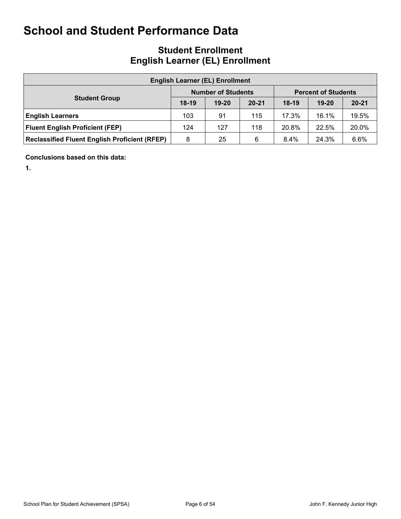## **Student Enrollment English Learner (EL) Enrollment**

| <b>English Learner (EL) Enrollment</b>               |         |                           |           |         |                            |           |  |  |  |  |  |  |  |
|------------------------------------------------------|---------|---------------------------|-----------|---------|----------------------------|-----------|--|--|--|--|--|--|--|
|                                                      |         | <b>Number of Students</b> |           |         | <b>Percent of Students</b> |           |  |  |  |  |  |  |  |
| <b>Student Group</b>                                 | $18-19$ | $19-20$                   | $20 - 21$ | $18-19$ | $19 - 20$                  | $20 - 21$ |  |  |  |  |  |  |  |
| <b>English Learners</b>                              | 103     | 91                        | 115       | 17.3%   | 16.1%                      | 19.5%     |  |  |  |  |  |  |  |
| <b>Fluent English Proficient (FEP)</b>               | 124     | 127                       | 118       | 20.8%   | 22.5%                      | 20.0%     |  |  |  |  |  |  |  |
| <b>Reclassified Fluent English Proficient (RFEP)</b> | 8       | 25                        | 6         | $8.4\%$ | 24.3%                      | 6.6%      |  |  |  |  |  |  |  |

**Conclusions based on this data:**

**1.**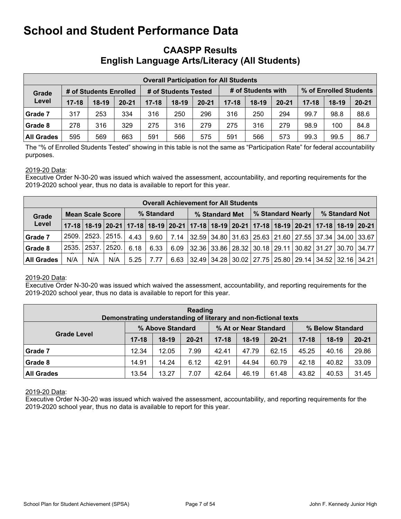## **CAASPP Results English Language Arts/Literacy (All Students)**

|                   |           |                        |           |           |                      |           | <b>Overall Participation for All Students</b> |                    |           |                        |         |           |
|-------------------|-----------|------------------------|-----------|-----------|----------------------|-----------|-----------------------------------------------|--------------------|-----------|------------------------|---------|-----------|
| Grade             |           | # of Students Enrolled |           |           | # of Students Tested |           |                                               | # of Students with |           | % of Enrolled Students |         |           |
| Level             | $17 - 18$ | $18-19$                | $20 - 21$ | $17 - 18$ | $18-19$              | $20 - 21$ | $17 - 18$                                     | $18-19$            | $20 - 21$ | $17 - 18$              | $18-19$ | $20 - 21$ |
| Grade 7           | 317       | 253                    | 334       | 316       | 250                  | 296       | 316                                           | 250                | 294       | 99.7                   | 98.8    | 88.6      |
| Grade 8           | 278       | 316                    | 329       | 275       | 316                  | 279       | 275                                           | 316                | 279       | 98.9                   | 100     | 84.8      |
| <b>All Grades</b> | 595       | 569                    | 663       | 591       | 566                  | 575       | 591                                           | 566                | 573       | 99.3                   | 99.5    | 86.7      |

The "% of Enrolled Students Tested" showing in this table is not the same as "Participation Rate" for federal accountability purposes.

#### 2019-20 Data:

Executive Order N-30-20 was issued which waived the assessment, accountability, and reporting requirements for the 2019-2020 school year, thus no data is available to report for this year.

|            | <b>Overall Achievement for All Students</b> |                   |       |      |            |      |                                                                                                                                       |  |                                                                       |  |  |                   |                |  |  |
|------------|---------------------------------------------|-------------------|-------|------|------------|------|---------------------------------------------------------------------------------------------------------------------------------------|--|-----------------------------------------------------------------------|--|--|-------------------|----------------|--|--|
| Grade      | <b>Mean Scale Score</b>                     |                   |       |      | % Standard |      | % Standard Met                                                                                                                        |  |                                                                       |  |  | % Standard Nearly | % Standard Not |  |  |
| Level      |                                             |                   |       |      |            |      | 17-18 18-19 20-21 17-18 18-19 20-21 17-18 18-19 20-21 17-18 18-19 20-21 17-18 18-19 20-21                                             |  |                                                                       |  |  |                   |                |  |  |
| Grade 7    |                                             | 2509. 2523. 2515. |       | 4.43 | 9.60       | 7.14 | $\vert$ 32.59 $\vert$ 34.80 $\vert$ 31.63 $\vert$ 25.63 $\vert$ 21.60 $\vert$ 27.55 $\vert$ 37.34 $\vert$ 34.00 $\vert$ 33.67 $\vert$ |  |                                                                       |  |  |                   |                |  |  |
| Grade 8    | 2535.l                                      | 2537.             | 2520. | 6.18 | 6.33       | 6.09 |                                                                                                                                       |  | 32.36   33.86   28.32   30.18   29.11   30.82   31.27   30.70   34.77 |  |  |                   |                |  |  |
| All Grades | N/A                                         | N/A               | N/A   | 5.25 | 7.77       | 6.63 |                                                                                                                                       |  | 32.49   34.28   30.02   27.75   25.80   29.14   34.52   32.16   34.21 |  |  |                   |                |  |  |

#### 2019-20 Data:

Executive Order N-30-20 was issued which waived the assessment, accountability, and reporting requirements for the 2019-2020 school year, thus no data is available to report for this year.

|                    | Reading<br>Demonstrating understanding of literary and non-fictional texts |                  |           |           |                       |           |                  |         |           |  |  |  |  |  |
|--------------------|----------------------------------------------------------------------------|------------------|-----------|-----------|-----------------------|-----------|------------------|---------|-----------|--|--|--|--|--|
|                    |                                                                            | % Above Standard |           |           | % At or Near Standard |           | % Below Standard |         |           |  |  |  |  |  |
| <b>Grade Level</b> | $17 - 18$                                                                  | $18-19$          | $20 - 21$ | $17 - 18$ | $18-19$               | $20 - 21$ | $17 - 18$        | $18-19$ | $20 - 21$ |  |  |  |  |  |
| Grade 7            | 12.34                                                                      | 12.05            | 7.99      | 42.41     | 47.79                 | 62.15     | 45.25            | 40.16   | 29.86     |  |  |  |  |  |
| Grade 8            | 14.91                                                                      | 14.24            | 6.12      | 42.91     | 44.94                 | 60.79     | 42.18            | 40.82   | 33.09     |  |  |  |  |  |
| <b>All Grades</b>  | 13.54                                                                      | 13.27            | 7.07      | 42.64     | 46.19                 | 61.48     | 43.82            | 40.53   | 31.45     |  |  |  |  |  |

2019-20 Data:

Executive Order N-30-20 was issued which waived the assessment, accountability, and reporting requirements for the 2019-2020 school year, thus no data is available to report for this year.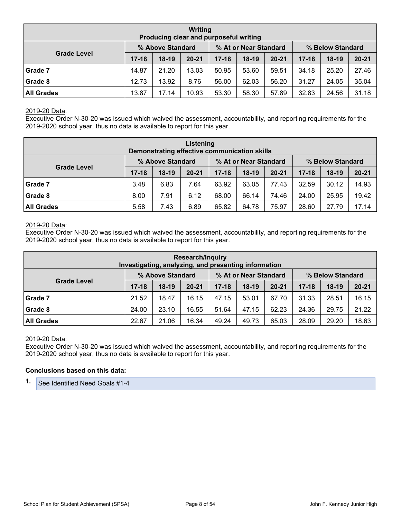| Writing<br>Producing clear and purposeful writing             |           |         |           |           |         |           |           |         |           |  |  |  |  |
|---------------------------------------------------------------|-----------|---------|-----------|-----------|---------|-----------|-----------|---------|-----------|--|--|--|--|
| % Above Standard<br>% At or Near Standard<br>% Below Standard |           |         |           |           |         |           |           |         |           |  |  |  |  |
| <b>Grade Level</b>                                            | $17 - 18$ | $18-19$ | $20 - 21$ | $17 - 18$ | $18-19$ | $20 - 21$ | $17 - 18$ | $18-19$ | $20 - 21$ |  |  |  |  |
| Grade 7                                                       | 14.87     | 21.20   | 13.03     | 50.95     | 53.60   | 59.51     | 34.18     | 25.20   | 27.46     |  |  |  |  |
| <b>Grade 8</b>                                                | 12.73     | 13.92   | 8.76      | 56.00     | 62.03   | 56.20     | 31.27     | 24.05   | 35.04     |  |  |  |  |
| <b>All Grades</b>                                             | 13.87     | 17.14   | 10.93     | 53.30     | 58.30   | 57.89     | 32.83     | 24.56   | 31.18     |  |  |  |  |

#### 2019-20 Data:

Executive Order N-30-20 was issued which waived the assessment, accountability, and reporting requirements for the 2019-2020 school year, thus no data is available to report for this year.

|                                                                                     | Listening<br>Demonstrating effective communication skills |         |           |           |         |           |           |         |           |  |  |  |  |
|-------------------------------------------------------------------------------------|-----------------------------------------------------------|---------|-----------|-----------|---------|-----------|-----------|---------|-----------|--|--|--|--|
| % At or Near Standard<br>% Above Standard<br>% Below Standard<br><b>Grade Level</b> |                                                           |         |           |           |         |           |           |         |           |  |  |  |  |
|                                                                                     | $17 - 18$                                                 | $18-19$ | $20 - 21$ | $17 - 18$ | $18-19$ | $20 - 21$ | $17 - 18$ | $18-19$ | $20 - 21$ |  |  |  |  |
| Grade 7                                                                             | 3.48                                                      | 6.83    | 7.64      | 63.92     | 63.05   | 77.43     | 32.59     | 30.12   | 14.93     |  |  |  |  |
| Grade 8                                                                             | 8.00                                                      | 7.91    | 6.12      | 68.00     | 66.14   | 74.46     | 24.00     | 25.95   | 19.42     |  |  |  |  |
| <b>All Grades</b>                                                                   | 5.58                                                      | 7.43    | 6.89      | 65.82     | 64.78   | 75.97     | 28.60     | 27.79   | 17.14     |  |  |  |  |

#### 2019-20 Data:

Executive Order N-30-20 was issued which waived the assessment, accountability, and reporting requirements for the 2019-2020 school year, thus no data is available to report for this year.

|                                                               | <b>Research/Inquiry</b><br>Investigating, analyzing, and presenting information |         |           |           |         |           |           |         |           |  |  |  |  |  |
|---------------------------------------------------------------|---------------------------------------------------------------------------------|---------|-----------|-----------|---------|-----------|-----------|---------|-----------|--|--|--|--|--|
| % At or Near Standard<br>% Above Standard<br>% Below Standard |                                                                                 |         |           |           |         |           |           |         |           |  |  |  |  |  |
| <b>Grade Level</b>                                            | $17 - 18$                                                                       | $18-19$ | $20 - 21$ | $17 - 18$ | $18-19$ | $20 - 21$ | $17 - 18$ | $18-19$ | $20 - 21$ |  |  |  |  |  |
| Grade 7                                                       | 21.52                                                                           | 18.47   | 16.15     | 47.15     | 53.01   | 67.70     | 31.33     | 28.51   | 16.15     |  |  |  |  |  |
| Grade 8                                                       | 24.00                                                                           | 23.10   | 16.55     | 51.64     | 47.15   | 62.23     | 24.36     | 29.75   | 21.22     |  |  |  |  |  |
| <b>All Grades</b>                                             | 22.67                                                                           | 21.06   | 16.34     | 49.24     | 49.73   | 65.03     | 28.09     | 29.20   | 18.63     |  |  |  |  |  |

#### 2019-20 Data:

Executive Order N-30-20 was issued which waived the assessment, accountability, and reporting requirements for the 2019-2020 school year, thus no data is available to report for this year.

#### **Conclusions based on this data:**

**1.** See Identified Need Goals #1-4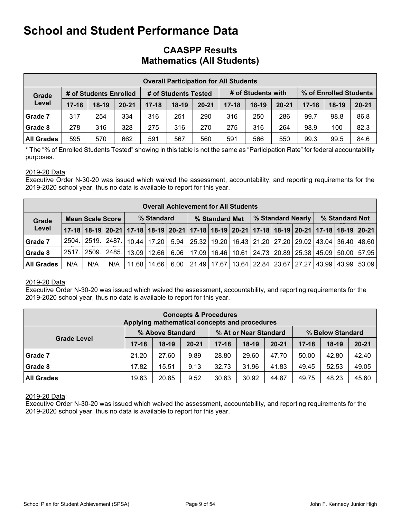## **CAASPP Results Mathematics (All Students)**

|                   | <b>Overall Participation for All Students</b> |                        |           |           |                      |           |           |                    |           |                        |         |           |  |  |
|-------------------|-----------------------------------------------|------------------------|-----------|-----------|----------------------|-----------|-----------|--------------------|-----------|------------------------|---------|-----------|--|--|
| Grade             |                                               | # of Students Enrolled |           |           | # of Students Tested |           |           | # of Students with |           | % of Enrolled Students |         |           |  |  |
| Level             | $17 - 18$                                     | $18-19$                | $20 - 21$ | $17 - 18$ | $18-19$              | $20 - 21$ | $17 - 18$ | $18-19$            | $20 - 21$ | $17 - 18$              | $18-19$ | $20 - 21$ |  |  |
| Grade 7           | 317                                           | 254                    | 334       | 316       | 251                  | 290       | 316       | 250                | 286       | 99.7                   | 98.8    | 86.8      |  |  |
| Grade 8           | 278                                           | 316                    | 328       | 275       | 316                  | 270       | 275       | 316                | 264       | 98.9                   | 100     | 82.3      |  |  |
| <b>All Grades</b> | 595                                           | 570                    | 662       | 591       | 567                  | 560       | 591       | 566                | 550       | 99.3                   | 99.5    | 84.6      |  |  |

\* The "% of Enrolled Students Tested" showing in this table is not the same as "Participation Rate" for federal accountability purposes.

#### 2019-20 Data:

Executive Order N-30-20 was issued which waived the assessment, accountability, and reporting requirements for the 2019-2020 school year, thus no data is available to report for this year.

|            | <b>Overall Achievement for All Students</b> |                         |               |                                     |            |      |                                                               |  |  |  |                   |                                               |                |  |                                                                                                             |
|------------|---------------------------------------------|-------------------------|---------------|-------------------------------------|------------|------|---------------------------------------------------------------|--|--|--|-------------------|-----------------------------------------------|----------------|--|-------------------------------------------------------------------------------------------------------------|
| Grade      |                                             | <b>Mean Scale Score</b> |               |                                     | % Standard |      | % Standard Met                                                |  |  |  | % Standard Nearly |                                               | % Standard Not |  |                                                                                                             |
| Level      |                                             |                         |               |                                     |            |      |                                                               |  |  |  |                   |                                               |                |  | 17-18 18-19 20-21 17-18 18-19 20-21 17-18 18-19 20-21 17-18 18-19 20-21 17-18 18-19 20-21 17-18 18-19 20-21 |
| Grade 7    | 2504.                                       |                         | 2519. 2487. 1 | 10.44   17.20                       |            | 5.94 | 25.32   19.20   16.43   21.20   27.20   29.02   43.04   36.40 |  |  |  |                   |                                               |                |  | 48.60                                                                                                       |
| Grade 8    | 2517.                                       | 2509.                   |               | ⊢2485.   13.09   12.66 <sup> </sup> |            | 6.06 | 17.09   16.46   10.61   24.73   20.89   25.38   45.09   50.00 |  |  |  |                   |                                               |                |  | 57.95                                                                                                       |
| All Grades | N/A                                         | N/A                     | N/A           | 11.68                               | 14.66      | 6.00 | 21.49   17.67                                                 |  |  |  |                   | 13.64   22.84   23.67   27.27   43.99   43.99 |                |  | 53.09                                                                                                       |

#### 2019-20 Data:

Executive Order N-30-20 was issued which waived the assessment, accountability, and reporting requirements for the 2019-2020 school year, thus no data is available to report for this year.

| <b>Concepts &amp; Procedures</b><br>Applying mathematical concepts and procedures |           |         |           |           |         |           |           |         |           |  |
|-----------------------------------------------------------------------------------|-----------|---------|-----------|-----------|---------|-----------|-----------|---------|-----------|--|
| % Above Standard<br>% At or Near Standard<br>% Below Standard                     |           |         |           |           |         |           |           |         |           |  |
| <b>Grade Level</b>                                                                | $17 - 18$ | $18-19$ | $20 - 21$ | $17 - 18$ | $18-19$ | $20 - 21$ | $17 - 18$ | $18-19$ | $20 - 21$ |  |
| Grade 7                                                                           | 21.20     | 27.60   | 9.89      | 28.80     | 29.60   | 47.70     | 50.00     | 42.80   | 42.40     |  |
| Grade 8                                                                           | 17.82     | 15.51   | 9.13      | 32.73     | 31.96   | 41.83     | 49.45     | 52.53   | 49.05     |  |
| <b>All Grades</b>                                                                 | 19.63     | 49.75   | 48.23     | 45.60     |         |           |           |         |           |  |

#### 2019-20 Data:

Executive Order N-30-20 was issued which waived the assessment, accountability, and reporting requirements for the 2019-2020 school year, thus no data is available to report for this year.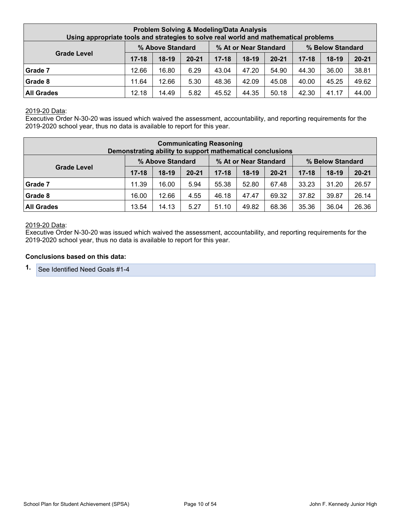| <b>Problem Solving &amp; Modeling/Data Analysis</b><br>Using appropriate tools and strategies to solve real world and mathematical problems |           |                  |           |           |                       |           |           |                  |           |
|---------------------------------------------------------------------------------------------------------------------------------------------|-----------|------------------|-----------|-----------|-----------------------|-----------|-----------|------------------|-----------|
|                                                                                                                                             |           | % Above Standard |           |           | % At or Near Standard |           |           | % Below Standard |           |
| <b>Grade Level</b>                                                                                                                          | $17 - 18$ | $18-19$          | $20 - 21$ | $17 - 18$ | $18-19$               | $20 - 21$ | $17 - 18$ | $18-19$          | $20 - 21$ |
| Grade 7                                                                                                                                     | 12.66     | 16.80            | 6.29      | 43.04     | 47.20                 | 54.90     | 44.30     | 36.00            | 38.81     |
| <b>Grade 8</b>                                                                                                                              | 11.64     | 12.66            | 5.30      | 48.36     | 42.09                 | 45.08     | 40.00     | 45.25            | 49.62     |
| <b>All Grades</b>                                                                                                                           | 12.18     | 14.49            | 5.82      | 45.52     | 44.35                 | 50.18     | 42.30     | 41.17            | 44.00     |

#### 2019-20 Data:

Executive Order N-30-20 was issued which waived the assessment, accountability, and reporting requirements for the 2019-2020 school year, thus no data is available to report for this year.

| <b>Communicating Reasoning</b><br>Demonstrating ability to support mathematical conclusions |           |                  |           |           |                       |           |           |                  |           |
|---------------------------------------------------------------------------------------------|-----------|------------------|-----------|-----------|-----------------------|-----------|-----------|------------------|-----------|
|                                                                                             |           | % Above Standard |           |           | % At or Near Standard |           |           | % Below Standard |           |
| <b>Grade Level</b>                                                                          | $17 - 18$ | $18-19$          | $20 - 21$ | $17 - 18$ | $18-19$               | $20 - 21$ | $17 - 18$ | $18-19$          | $20 - 21$ |
| Grade 7                                                                                     | 11.39     | 16.00            | 5.94      | 55.38     | 52.80                 | 67.48     | 33.23     | 31.20            | 26.57     |
| Grade 8                                                                                     | 16.00     | 12.66            | 4.55      | 46.18     | 47.47                 | 69.32     | 37.82     | 39.87            | 26.14     |
| <b>All Grades</b>                                                                           | 13.54     | 14.13            | 5.27      | 51.10     | 49.82                 | 68.36     | 35.36     | 36.04            | 26.36     |

#### 2019-20 Data:

Executive Order N-30-20 was issued which waived the assessment, accountability, and reporting requirements for the 2019-2020 school year, thus no data is available to report for this year.

#### **Conclusions based on this data:**

**1.** See Identified Need Goals #1-4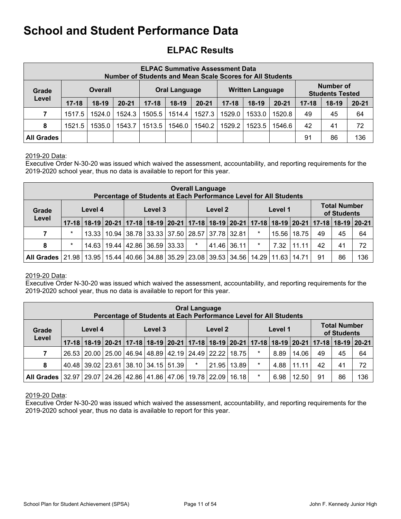## **ELPAC Results**

|                   | <b>ELPAC Summative Assessment Data</b><br><b>Number of Students and Mean Scale Scores for All Students</b> |                |           |           |                      |           |           |                         |           |           |                                            |           |  |
|-------------------|------------------------------------------------------------------------------------------------------------|----------------|-----------|-----------|----------------------|-----------|-----------|-------------------------|-----------|-----------|--------------------------------------------|-----------|--|
| Grade             |                                                                                                            | <b>Overall</b> |           |           | <b>Oral Language</b> |           |           | <b>Written Language</b> |           |           | <b>Number of</b><br><b>Students Tested</b> |           |  |
| Level             | $17 - 18$                                                                                                  | $18-19$        | $20 - 21$ | $17 - 18$ | $18-19$              | $20 - 21$ | $17 - 18$ | $18-19$                 | $20 - 21$ | $17 - 18$ | $18-19$                                    | $20 - 21$ |  |
| 7                 | 1517.5                                                                                                     | 1524.0         | 1524.3    | 1505.5    | 1514.4               | 1527.3    | 1529.0    | 1533.0                  | 1520.8    | 49        | 45                                         | 64        |  |
| 8                 | 1521.5                                                                                                     | 1535.0         | 1543.7    | 1513.5    | 1546.0               | 1540.2    | 1529.2    | 1523.5                  | 1546.6    | 42        | 41                                         | 72        |  |
| <b>All Grades</b> |                                                                                                            |                |           |           |                      |           |           |                         |           | 91        | 86                                         | 136       |  |

#### 2019-20 Data:

Executive Order N-30-20 was issued which waived the assessment, accountability, and reporting requirements for the 2019-2020 school year, thus no data is available to report for this year.

|                   | <b>Overall Language</b><br>Percentage of Students at Each Performance Level for All Students |                                                                                           |  |                                                               |         |       |         |               |  |        |         |       |    |                                    |     |
|-------------------|----------------------------------------------------------------------------------------------|-------------------------------------------------------------------------------------------|--|---------------------------------------------------------------|---------|-------|---------|---------------|--|--------|---------|-------|----|------------------------------------|-----|
| Grade             | Level 4<br>Level                                                                             |                                                                                           |  |                                                               | Level 3 |       |         | Level 2       |  |        | Level 1 |       |    | <b>Total Number</b><br>of Students |     |
|                   |                                                                                              | 17-18 18-19 20-21 17-18 18-19 20-21 17-18 18-19 20-21 17-18 18-19 20-21 17-18 18-19 20-21 |  |                                                               |         |       |         |               |  |        |         |       |    |                                    |     |
| 7                 | $\star$                                                                                      |                                                                                           |  | 13.33   10.94   38.78   33.33   37.50   28.57   37.78   32.81 |         |       |         |               |  | $\ast$ | 15.56   | 18.75 | 49 | 45                                 | 64  |
| 8                 | $\star$                                                                                      |                                                                                           |  | 14.63   19.44   42.86   36.59                                 |         | 33.33 | $\star$ | $41.46$ 36.11 |  | $\ast$ | 7.32    | 11.11 | 42 | 41                                 | 72  |
| <b>All Grades</b> | 21.98   13.95   15.44   40.66   34.88   35.29   23.08   39.53   34.56                        |                                                                                           |  |                                                               |         |       |         |               |  | 14.29  | 11.63   | 14.71 | 91 | 86                                 | 136 |

#### 2019-20 Data:

Executive Order N-30-20 was issued which waived the assessment, accountability, and reporting requirements for the 2019-2020 school year, thus no data is available to report for this year.

|                           | <b>Oral Language</b><br>Percentage of Students at Each Performance Level for All Students |                                                                       |  |  |         |  |         |         |               |                                                                                           |         |       |    |                                    |     |
|---------------------------|-------------------------------------------------------------------------------------------|-----------------------------------------------------------------------|--|--|---------|--|---------|---------|---------------|-------------------------------------------------------------------------------------------|---------|-------|----|------------------------------------|-----|
| Level 4<br>Grade<br>Level |                                                                                           |                                                                       |  |  | Level 3 |  |         | Level 2 |               |                                                                                           | Level 1 |       |    | <b>Total Number</b><br>of Students |     |
|                           |                                                                                           |                                                                       |  |  |         |  |         |         |               | 17-18 18-19 20-21 17-18 18-19 20-21 17-18 18-19 20-21 17-18 18-19 20-21 17-18 18-19 20-21 |         |       |    |                                    |     |
| 7                         |                                                                                           | 26.53   20.00   25.00   46.94   48.89   42.19   24.49   22.22   18.75 |  |  |         |  |         |         |               | $\ast$                                                                                    | 8.89    | 14.06 | 49 | 45                                 | 64  |
| 8                         |                                                                                           | 40.48 39.02 23.61 38.10 34.15 51.39                                   |  |  |         |  | $\star$ |         | 21.95   13.89 | $\star$                                                                                   | 4.88    | 11.11 | 42 | 41                                 | 72  |
| All Grades                | 32.97   29.07   24.26   42.86   41.86   47.06   19.78   22.09                             |                                                                       |  |  |         |  |         |         | 16.18         | $\star$                                                                                   | 6.98    | 12.50 | 91 | 86                                 | 136 |

#### 2019-20 Data:

Executive Order N-30-20 was issued which waived the assessment, accountability, and reporting requirements for the 2019-2020 school year, thus no data is available to report for this year.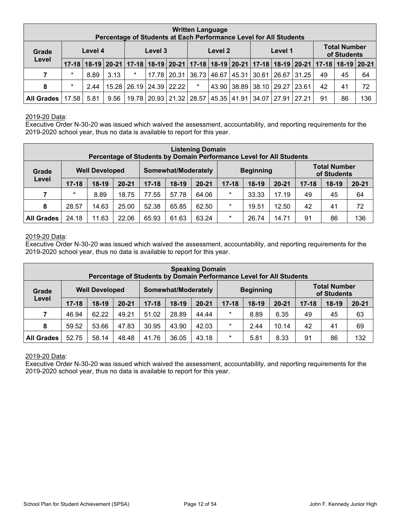| <b>Written Language</b><br>Percentage of Students at Each Performance Level for All Students |         |      |      |         |         |                                                                                                       |        |                   |  |                         |         |       |    |                                    |     |
|----------------------------------------------------------------------------------------------|---------|------|------|---------|---------|-------------------------------------------------------------------------------------------------------|--------|-------------------|--|-------------------------|---------|-------|----|------------------------------------|-----|
| Level 4<br>Grade<br>Level                                                                    |         |      |      |         | Level 3 |                                                                                                       |        | Level 2           |  |                         | Level 1 |       |    | <b>Total Number</b><br>of Students |     |
|                                                                                              |         |      |      |         |         | 17-18 18-19 20-21 17-18 18-19 20-21 17-18 18-19 20-21 17-18 20-21 17-18 18-19 20-21 17-18 18-19 20-21 |        |                   |  |                         |         |       |    |                                    |     |
| 7                                                                                            | $\star$ | 8.89 | 3.13 | $\star$ | 17.78   |                                                                                                       |        | 20.31 36.73 46.67 |  | 45.31 30.61 26.67 31.25 |         |       | 49 | 45                                 | 64  |
| 8                                                                                            | $\star$ | 2.44 |      |         |         | 15.28 26.19 24.39 22.22                                                                               | $\ast$ | 43.90             |  | 38.89 38.10 29.27 23.61 |         |       | 42 | 41                                 | 72  |
| <b>All Grades</b>                                                                            | 17.58   | 5.81 | 9.56 |         |         | 19.78   20.93   21.32   28.57   45.35   41.91   34.07                                                 |        |                   |  |                         | 27.91   | 27.21 | 91 | 86                                 | 136 |

#### 2019-20 Data:

Executive Order N-30-20 was issued which waived the assessment, accountability, and reporting requirements for the 2019-2020 school year, thus no data is available to report for this year.

|                   | <b>Listening Domain</b><br>Percentage of Students by Domain Performance Level for All Students |         |           |           |                     |           |                                   |                  |       |    |                                    |           |  |
|-------------------|------------------------------------------------------------------------------------------------|---------|-----------|-----------|---------------------|-----------|-----------------------------------|------------------|-------|----|------------------------------------|-----------|--|
| Grade             | <b>Well Developed</b><br>Level                                                                 |         |           |           | Somewhat/Moderately |           |                                   | <b>Beginning</b> |       |    | <b>Total Number</b><br>of Students |           |  |
|                   | $17 - 18$                                                                                      | $18-19$ | $20 - 21$ | $17 - 18$ | $18-19$             | $20 - 21$ | $17 - 18$<br>$18-19$<br>$20 - 21$ |                  |       |    | $18-19$                            | $20 - 21$ |  |
| 7                 | $\ast$                                                                                         | 8.89    | 18.75     | 77.55     | 57.78               | 64.06     | $\star$                           | 33.33            | 17.19 | 49 | 45                                 | 64        |  |
| 8                 | 28.57                                                                                          | 14.63   | 25.00     | 52.38     | 65.85               | 62.50     | $\star$                           | 19.51            | 12.50 | 42 | 41                                 | 72        |  |
| <b>All Grades</b> | 24.18                                                                                          | 11.63   | 22.06     | 65.93     | 61.63               | 63.24     | $\star$                           | 26.74            | 14.71 | 91 | 86                                 | 136       |  |

#### 2019-20 Data:

Executive Order N-30-20 was issued which waived the assessment, accountability, and reporting requirements for the 2019-2020 school year, thus no data is available to report for this year.

|                   | <b>Speaking Domain</b><br>Percentage of Students by Domain Performance Level for All Students |         |           |           |                     |           |           |                  |           |           |                                    |           |  |
|-------------------|-----------------------------------------------------------------------------------------------|---------|-----------|-----------|---------------------|-----------|-----------|------------------|-----------|-----------|------------------------------------|-----------|--|
| Grade             | <b>Well Developed</b>                                                                         |         |           |           | Somewhat/Moderately |           |           | <b>Beginning</b> |           |           | <b>Total Number</b><br>of Students |           |  |
| Level             | $17 - 18$                                                                                     | $18-19$ | $20 - 21$ | $17 - 18$ | $18-19$             | $20 - 21$ | $17 - 18$ | $18-19$          | $20 - 21$ | $17 - 18$ | $18-19$                            | $20 - 21$ |  |
| 7                 | 46.94                                                                                         | 62.22   | 49.21     | 51.02     | 28.89               | 44.44     | $\star$   | 8.89             | 6.35      | 49        | 45                                 | 63        |  |
| 8                 | 59.52                                                                                         | 53.66   | 47.83     | 30.95     | 43.90               | 42.03     | $\ast$    | 2.44             | 10.14     | 42        | 41                                 | 69        |  |
| <b>All Grades</b> | 52.75                                                                                         | 58.14   | 48.48     | 41.76     | 36.05               | 43.18     | $\star$   | 5.81             | 8.33      | 91        | 86                                 | 132       |  |

#### 2019-20 Data:

Executive Order N-30-20 was issued which waived the assessment, accountability, and reporting requirements for the 2019-2020 school year, thus no data is available to report for this year.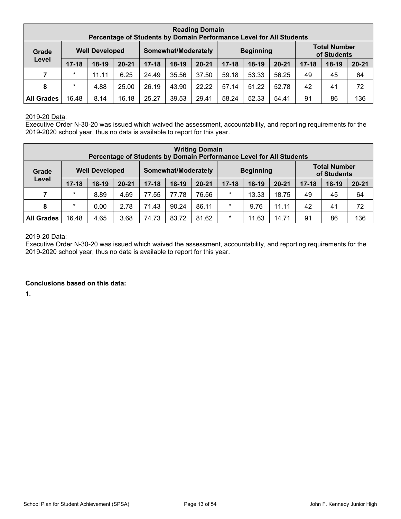| <b>Reading Domain</b><br>Percentage of Students by Domain Performance Level for All Students |                                |         |           |           |                     |           |           |                  |           |           |                                    |           |
|----------------------------------------------------------------------------------------------|--------------------------------|---------|-----------|-----------|---------------------|-----------|-----------|------------------|-----------|-----------|------------------------------------|-----------|
| Grade                                                                                        | <b>Well Developed</b><br>Level |         |           |           | Somewhat/Moderately |           |           | <b>Beginning</b> |           |           | <b>Total Number</b><br>of Students |           |
|                                                                                              | $17 - 18$                      | $18-19$ | $20 - 21$ | $17 - 18$ | $18-19$             | $20 - 21$ | $17 - 18$ | $18-19$          | $20 - 21$ | $17 - 18$ | $18-19$                            | $20 - 21$ |
| 7                                                                                            | $\ast$                         | 11.11   | 6.25      | 24.49     | 35.56               | 37.50     | 59.18     | 53.33            | 56.25     | 49        | 45                                 | 64        |
| 8                                                                                            | $\ast$                         | 4.88    | 25.00     | 26.19     | 43.90               | 22.22     | 57.14     | 51.22            | 52.78     | 42        | 41                                 | 72        |
| <b>All Grades</b>                                                                            | 16.48                          | 8.14    | 16.18     | 25.27     | 39.53               | 29.41     | 58.24     | 52.33            | 54.41     | 91        | 86                                 | 136       |

### 2019-20 Data:

Executive Order N-30-20 was issued which waived the assessment, accountability, and reporting requirements for the 2019-2020 school year, thus no data is available to report for this year.

|                   | <b>Writing Domain</b><br>Percentage of Students by Domain Performance Level for All Students |         |           |           |                     |           |                                   |                  |       |           |                                    |           |  |
|-------------------|----------------------------------------------------------------------------------------------|---------|-----------|-----------|---------------------|-----------|-----------------------------------|------------------|-------|-----------|------------------------------------|-----------|--|
| Grade             | <b>Well Developed</b><br>Level                                                               |         |           |           | Somewhat/Moderately |           |                                   | <b>Beginning</b> |       |           | <b>Total Number</b><br>of Students |           |  |
|                   | $17 - 18$                                                                                    | $18-19$ | $20 - 21$ | $17 - 18$ | $18-19$             | $20 - 21$ | $20 - 21$<br>$17 - 18$<br>$18-19$ |                  |       | $17 - 18$ | $18-19$                            | $20 - 21$ |  |
| 7                 | $\ast$                                                                                       | 8.89    | 4.69      | 77.55     | 77.78               | 76.56     | $\star$                           | 13.33            | 18.75 | 49        | 45                                 | 64        |  |
| 8                 | $\ast$                                                                                       | 0.00    | 2.78      | 71.43     | 90.24               | 86.11     | $\star$                           | 9.76             | 11.11 | 42        | 41                                 | 72        |  |
| <b>All Grades</b> | 16.48                                                                                        | 4.65    | 3.68      | 74.73     | 83.72               | 81.62     | $\star$                           | 11.63            | 14.71 | 91        | 86                                 | 136       |  |

## 2019-20 Data:

Executive Order N-30-20 was issued which waived the assessment, accountability, and reporting requirements for the 2019-2020 school year, thus no data is available to report for this year.

#### **Conclusions based on this data:**

**1.**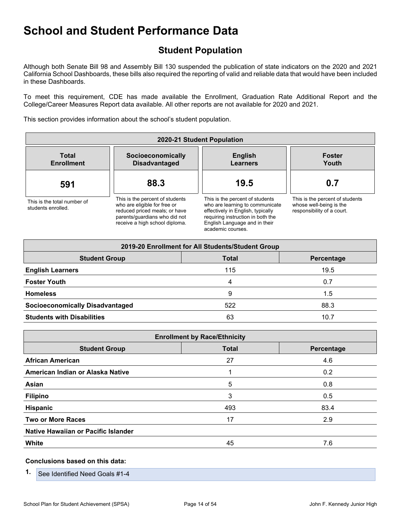## **Student Population**

Although both Senate Bill 98 and Assembly Bill 130 suspended the publication of state indicators on the 2020 and 2021 California School Dashboards, these bills also required the reporting of valid and reliable data that would have been included in these Dashboards.

To meet this requirement, CDE has made available the Enrollment, Graduation Rate Additional Report and the College/Career Measures Report data available. All other reports are not available for 2020 and 2021.

This section provides information about the school's student population.

| 2020-21 Student Population                        |                                                                                                                                                                     |                                                                                                                                                                                                    |                                                                                          |  |  |  |  |  |  |  |
|---------------------------------------------------|---------------------------------------------------------------------------------------------------------------------------------------------------------------------|----------------------------------------------------------------------------------------------------------------------------------------------------------------------------------------------------|------------------------------------------------------------------------------------------|--|--|--|--|--|--|--|
| <b>Total</b><br><b>Enrollment</b>                 | Socioeconomically<br><b>Disadvantaged</b>                                                                                                                           | <b>English</b><br><b>Learners</b>                                                                                                                                                                  | <b>Foster</b><br>Youth                                                                   |  |  |  |  |  |  |  |
| 591                                               | 88.3                                                                                                                                                                | 19.5                                                                                                                                                                                               | 0.7                                                                                      |  |  |  |  |  |  |  |
| This is the total number of<br>students enrolled. | This is the percent of students<br>who are eligible for free or<br>reduced priced meals; or have<br>parents/guardians who did not<br>receive a high school diploma. | This is the percent of students<br>who are learning to communicate<br>effectively in English, typically<br>requiring instruction in both the<br>English Language and in their<br>academic courses. | This is the percent of students<br>whose well-being is the<br>responsibility of a court. |  |  |  |  |  |  |  |

| 2019-20 Enrollment for All Students/Student Group  |     |      |  |
|----------------------------------------------------|-----|------|--|
| <b>Total</b><br><b>Student Group</b><br>Percentage |     |      |  |
| <b>English Learners</b>                            | 115 | 19.5 |  |
| <b>Foster Youth</b>                                | 4   | 0.7  |  |
| <b>Homeless</b>                                    | 9   | 1.5  |  |
| <b>Socioeconomically Disadvantaged</b>             | 522 | 88.3 |  |
| <b>Students with Disabilities</b>                  | 63  | 10.7 |  |

| <b>Enrollment by Race/Ethnicity</b> |              |            |  |  |
|-------------------------------------|--------------|------------|--|--|
| <b>Student Group</b>                | <b>Total</b> | Percentage |  |  |
| <b>African American</b>             | 27           | 4.6        |  |  |
| American Indian or Alaska Native    |              | 0.2        |  |  |
| Asian                               | 5            | 0.8        |  |  |
| <b>Filipino</b>                     | 3            | 0.5        |  |  |
| Hispanic                            | 493          | 83.4       |  |  |
| <b>Two or More Races</b>            | 17           | 2.9        |  |  |
| Native Hawaiian or Pacific Islander |              |            |  |  |
| White                               | 45           | 7.6        |  |  |

#### **Conclusions based on this data:**

**1.** See Identified Need Goals #1-4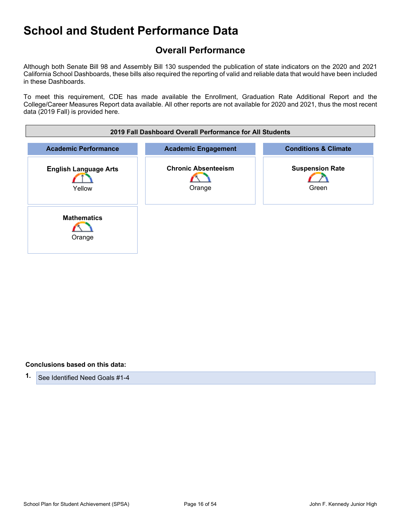## **Overall Performance**

Although both Senate Bill 98 and Assembly Bill 130 suspended the publication of state indicators on the 2020 and 2021 California School Dashboards, these bills also required the reporting of valid and reliable data that would have been included in these Dashboards.

To meet this requirement, CDE has made available the Enrollment, Graduation Rate Additional Report and the College/Career Measures Report data available. All other reports are not available for 2020 and 2021, thus the most recent data (2019 Fall) is provided here.

| 2019 Fall Dashboard Overall Performance for All Students |                                      |                                 |
|----------------------------------------------------------|--------------------------------------|---------------------------------|
| <b>Academic Performance</b>                              | <b>Academic Engagement</b>           | <b>Conditions &amp; Climate</b> |
| <b>English Language Arts</b><br>Yellow                   | <b>Chronic Absenteeism</b><br>Orange | <b>Suspension Rate</b><br>Green |
| <b>Mathematics</b><br>Orange                             |                                      |                                 |

#### **Conclusions based on this data:**

**1.** See Identified Need Goals #1-4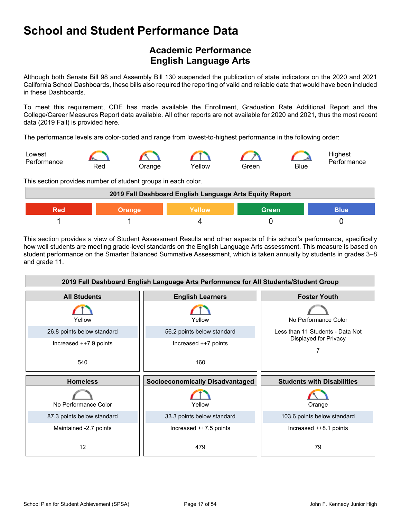## **Academic Performance English Language Arts**

Although both Senate Bill 98 and Assembly Bill 130 suspended the publication of state indicators on the 2020 and 2021 California School Dashboards, these bills also required the reporting of valid and reliable data that would have been included in these Dashboards.

To meet this requirement, CDE has made available the Enrollment, Graduation Rate Additional Report and the College/Career Measures Report data available. All other reports are not available for 2020 and 2021, thus the most recent data (2019 Fall) is provided here.

The performance levels are color-coded and range from lowest-to-highest performance in the following order:



This section provides number of student groups in each color.



This section provides a view of Student Assessment Results and other aspects of this school's performance, specifically how well students are meeting grade-level standards on the English Language Arts assessment. This measure is based on student performance on the Smarter Balanced Summative Assessment, which is taken annually by students in grades 3–8 and grade 11.

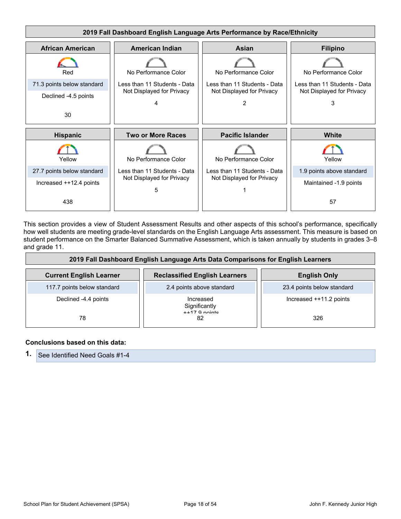

This section provides a view of Student Assessment Results and other aspects of this school's performance, specifically how well students are meeting grade-level standards on the English Language Arts assessment. This measure is based on student performance on the Smarter Balanced Summative Assessment, which is taken annually by students in grades 3–8 and grade 11.

| 2019 Fall Dashboard English Language Arts Data Comparisons for English Learners |                                      |                            |
|---------------------------------------------------------------------------------|--------------------------------------|----------------------------|
| <b>Current English Learner</b>                                                  | <b>Reclassified English Learners</b> | <b>English Only</b>        |
| 117.7 points below standard                                                     | 2.4 points above standard            | 23.4 points below standard |
| Declined -4.4 points                                                            | Increased<br>Significantly           | Increased ++11.2 points    |
| 78                                                                              | $++17$ Q nointe<br>82                | 326                        |

#### **Conclusions based on this data:**

**1.** See Identified Need Goals #1-4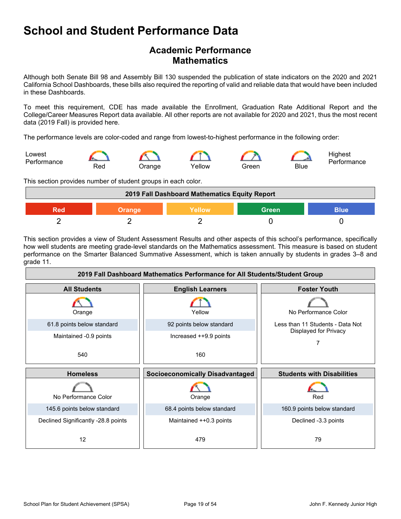## **Academic Performance Mathematics**

Although both Senate Bill 98 and Assembly Bill 130 suspended the publication of state indicators on the 2020 and 2021 California School Dashboards, these bills also required the reporting of valid and reliable data that would have been included in these Dashboards.

To meet this requirement, CDE has made available the Enrollment, Graduation Rate Additional Report and the College/Career Measures Report data available. All other reports are not available for 2020 and 2021, thus the most recent data (2019 Fall) is provided here.

The performance levels are color-coded and range from lowest-to-highest performance in the following order:



This section provides number of student groups in each color.

| 2019 Fall Dashboard Mathematics Equity Report   |  |  |  |  |
|-------------------------------------------------|--|--|--|--|
| <b>Green</b><br>Yellow<br>Red<br>Blue<br>Orange |  |  |  |  |
|                                                 |  |  |  |  |

This section provides a view of Student Assessment Results and other aspects of this school's performance, specifically how well students are meeting grade-level standards on the Mathematics assessment. This measure is based on student performance on the Smarter Balanced Summative Assessment, which is taken annually by students in grades 3–8 and grade 11.

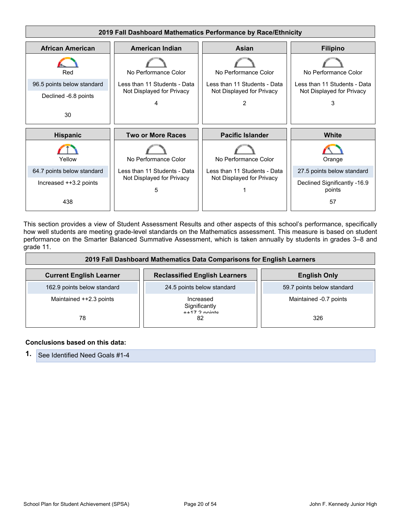

This section provides a view of Student Assessment Results and other aspects of this school's performance, specifically how well students are meeting grade-level standards on the Mathematics assessment. This measure is based on student performance on the Smarter Balanced Summative Assessment, which is taken annually by students in grades 3–8 and grade 11.

| 2019 Fall Dashboard Mathematics Data Comparisons for English Learners |                                               |                            |
|-----------------------------------------------------------------------|-----------------------------------------------|----------------------------|
| <b>Current English Learner</b>                                        | <b>Reclassified English Learners</b>          | <b>English Only</b>        |
| 162.9 points below standard                                           | 24.5 points below standard                    | 59.7 points below standard |
| Maintained ++2.3 points                                               | Increased<br>Significantly<br>$++17$ 2 nointe | Maintained -0.7 points     |
| 78                                                                    | 82                                            | 326                        |

#### **Conclusions based on this data:**

**1.** See Identified Need Goals #1-4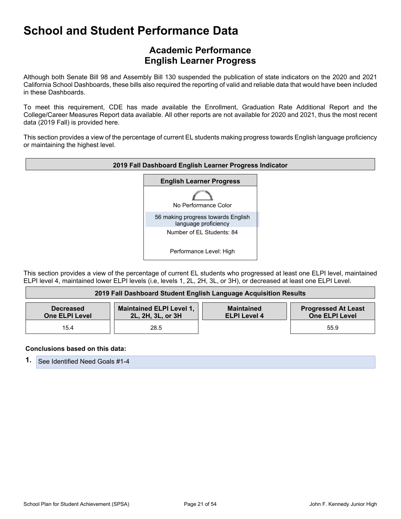## **Academic Performance English Learner Progress**

Although both Senate Bill 98 and Assembly Bill 130 suspended the publication of state indicators on the 2020 and 2021 California School Dashboards, these bills also required the reporting of valid and reliable data that would have been included in these Dashboards.

To meet this requirement, CDE has made available the Enrollment, Graduation Rate Additional Report and the College/Career Measures Report data available. All other reports are not available for 2020 and 2021, thus the most recent data (2019 Fall) is provided here.

This section provides a view of the percentage of current EL students making progress towards English language proficiency or maintaining the highest level.



This section provides a view of the percentage of current EL students who progressed at least one ELPI level, maintained ELPI level 4, maintained lower ELPI levels (i.e, levels 1, 2L, 2H, 3L, or 3H), or decreased at least one ELPI Level.

| 2019 Fall Dashboard Student English Language Acquisition Results |                                                      |                                          |                                                     |
|------------------------------------------------------------------|------------------------------------------------------|------------------------------------------|-----------------------------------------------------|
| <b>Decreased</b><br><b>One ELPI Level</b>                        | <b>Maintained ELPI Level 1,</b><br>2L, 2H, 3L, or 3H | <b>Maintained</b><br><b>ELPI Level 4</b> | <b>Progressed At Least</b><br><b>One ELPI Level</b> |
| 15.4                                                             | 28.5                                                 |                                          | 55.9                                                |

#### **Conclusions based on this data:**

**1.** See Identified Need Goals #1-4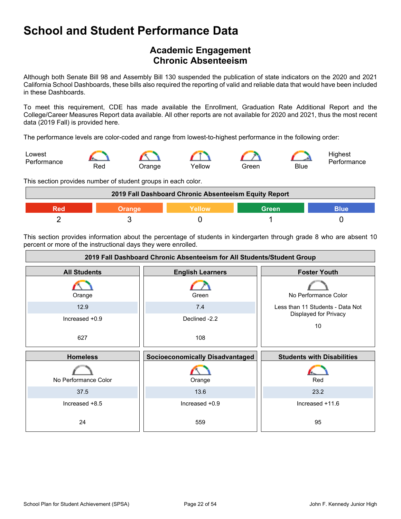## **Academic Engagement Chronic Absenteeism**

Although both Senate Bill 98 and Assembly Bill 130 suspended the publication of state indicators on the 2020 and 2021 California School Dashboards, these bills also required the reporting of valid and reliable data that would have been included in these Dashboards.

To meet this requirement, CDE has made available the Enrollment, Graduation Rate Additional Report and the College/Career Measures Report data available. All other reports are not available for 2020 and 2021, thus the most recent data (2019 Fall) is provided here.

The performance levels are color-coded and range from lowest-to-highest performance in the following order:



This section provides number of student groups in each color.

| 2019 Fall Dashboard Chronic Absenteeism Equity Report |        |        |              |      |
|-------------------------------------------------------|--------|--------|--------------|------|
| Red                                                   | orande | Yellow | <b>Green</b> | Blue |
|                                                       |        |        |              |      |

This section provides information about the percentage of students in kindergarten through grade 8 who are absent 10 percent or more of the instructional days they were enrolled.

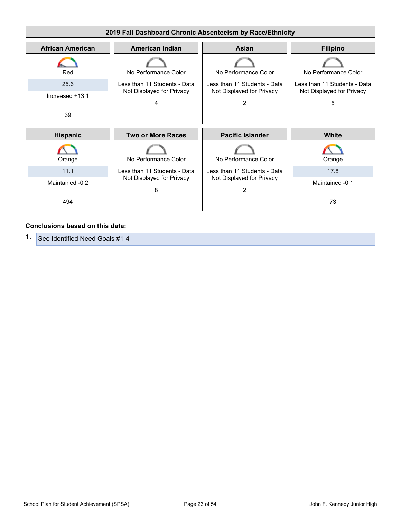

#### **Conclusions based on this data:**

**1.** See Identified Need Goals #1-4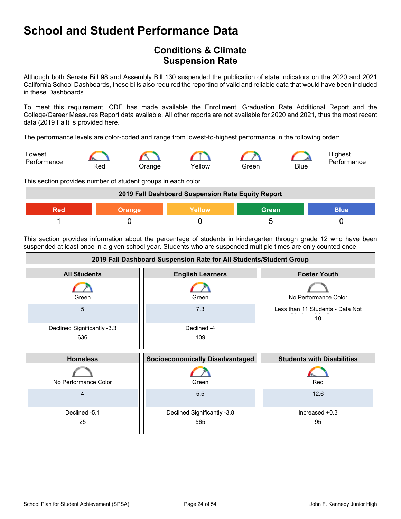## **Conditions & Climate Suspension Rate**

Although both Senate Bill 98 and Assembly Bill 130 suspended the publication of state indicators on the 2020 and 2021 California School Dashboards, these bills also required the reporting of valid and reliable data that would have been included in these Dashboards.

To meet this requirement, CDE has made available the Enrollment, Graduation Rate Additional Report and the College/Career Measures Report data available. All other reports are not available for 2020 and 2021, thus the most recent data (2019 Fall) is provided here.

The performance levels are color-coded and range from lowest-to-highest performance in the following order:



This section provides number of student groups in each color.



This section provides information about the percentage of students in kindergarten through grade 12 who have been suspended at least once in a given school year. Students who are suspended multiple times are only counted once.

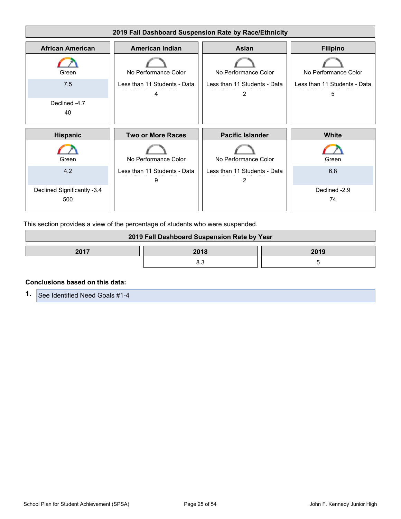

This section provides a view of the percentage of students who were suspended.

| 2019 Fall Dashboard Suspension Rate by Year |  |  |  |
|---------------------------------------------|--|--|--|
| 2017<br>2018<br>2019                        |  |  |  |
|                                             |  |  |  |

#### **Conclusions based on this data:**

**1.** See Identified Need Goals #1-4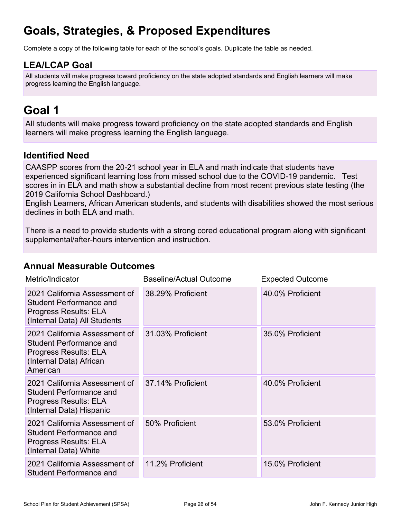# **Goals, Strategies, & Proposed Expenditures**

Complete a copy of the following table for each of the school's goals. Duplicate the table as needed.

## **LEA/LCAP Goal**

All students will make progress toward proficiency on the state adopted standards and English learners will make progress learning the English language.

# **Goal 1**

All students will make progress toward proficiency on the state adopted standards and English learners will make progress learning the English language.

## **Identified Need**

CAASPP scores from the 20-21 school year in ELA and math indicate that students have experienced significant learning loss from missed school due to the COVID-19 pandemic. Test scores in in ELA and math show a substantial decline from most recent previous state testing (the 2019 California School Dashboard.)

English Learners, African American students, and students with disabilities showed the most serious declines in both ELA and math.

There is a need to provide students with a strong cored educational program along with significant supplemental/after-hours intervention and instruction.

### **Annual Measurable Outcomes**

| Metric/Indicator                                                                                                                | <b>Baseline/Actual Outcome</b> | <b>Expected Outcome</b> |
|---------------------------------------------------------------------------------------------------------------------------------|--------------------------------|-------------------------|
| 2021 California Assessment of<br><b>Student Performance and</b><br>Progress Results: ELA<br>(Internal Data) All Students        | 38.29% Proficient              | 40.0% Proficient        |
| 2021 California Assessment of<br><b>Student Performance and</b><br>Progress Results: ELA<br>(Internal Data) African<br>American | 31.03% Proficient              | 35.0% Proficient        |
| 2021 California Assessment of<br><b>Student Performance and</b><br>Progress Results: ELA<br>(Internal Data) Hispanic            | 37.14% Proficient              | 40.0% Proficient        |
| 2021 California Assessment of<br><b>Student Performance and</b><br>Progress Results: ELA<br>(Internal Data) White               | 50% Proficient                 | 53.0% Proficient        |
| 2021 California Assessment of<br><b>Student Performance and</b>                                                                 | 11.2% Proficient               | 15.0% Proficient        |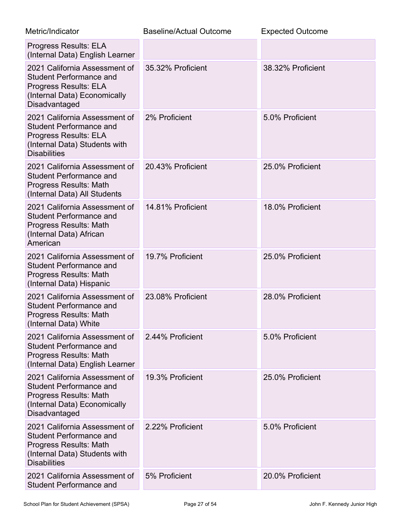| Metric/Indicator                                                                                                                                        | <b>Baseline/Actual Outcome</b> | <b>Expected Outcome</b> |
|---------------------------------------------------------------------------------------------------------------------------------------------------------|--------------------------------|-------------------------|
| <b>Progress Results: ELA</b><br>(Internal Data) English Learner                                                                                         |                                |                         |
| 2021 California Assessment of<br><b>Student Performance and</b><br><b>Progress Results: ELA</b><br>(Internal Data) Economically<br>Disadvantaged        | 35.32% Proficient              | 38.32% Proficient       |
| 2021 California Assessment of<br><b>Student Performance and</b><br><b>Progress Results: ELA</b><br>(Internal Data) Students with<br><b>Disabilities</b> | 2% Proficient                  | 5.0% Proficient         |
| 2021 California Assessment of<br><b>Student Performance and</b><br>Progress Results: Math<br>(Internal Data) All Students                               | 20.43% Proficient              | 25.0% Proficient        |
| 2021 California Assessment of<br><b>Student Performance and</b><br>Progress Results: Math<br>(Internal Data) African<br>American                        | 14.81% Proficient              | 18.0% Proficient        |
| 2021 California Assessment of<br><b>Student Performance and</b><br>Progress Results: Math<br>(Internal Data) Hispanic                                   | 19.7% Proficient               | 25.0% Proficient        |
| 2021 California Assessment of<br><b>Student Performance and</b><br>Progress Results: Math<br>(Internal Data) White                                      | 23.08% Proficient              | 28.0% Proficient        |
| 2021 California Assessment of<br><b>Student Performance and</b><br>Progress Results: Math<br>(Internal Data) English Learner                            | 2.44% Proficient               | 5.0% Proficient         |
| 2021 California Assessment of<br><b>Student Performance and</b><br><b>Progress Results: Math</b><br>(Internal Data) Economically<br>Disadvantaged       | 19.3% Proficient               | 25.0% Proficient        |
| 2021 California Assessment of<br><b>Student Performance and</b><br>Progress Results: Math<br>(Internal Data) Students with<br><b>Disabilities</b>       | 2.22% Proficient               | 5.0% Proficient         |
| 2021 California Assessment of<br><b>Student Performance and</b>                                                                                         | 5% Proficient                  | 20.0% Proficient        |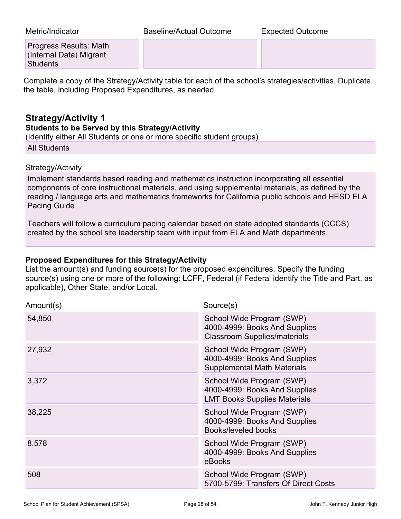Metric/Indicator Baseline/Actual Outcome Expected Outcome

Progress Results: Math (Internal Data) Migrant **Students** 

Complete a copy of the Strategy/Activity table for each of the school's strategies/activities. Duplicate the table, including Proposed Expenditures, as needed.

## **Strategy/Activity 1**

### **Students to be Served by this Strategy/Activity**

(Identify either All Students or one or more specific student groups)

All Students

### Strategy/Activity

Implement standards based reading and mathematics instruction incorporating all essential components of core instructional materials, and using supplemental materials, as defined by the reading / language arts and mathematics frameworks for California public schools and HESD ELA Pacing Guide

Teachers will follow a curriculum pacing calendar based on state adopted standards (CCCS) created by the school site leadership team with input from ELA and Math departments.

### **Proposed Expenditures for this Strategy/Activity**

List the amount(s) and funding source(s) for the proposed expenditures. Specify the funding source(s) using one or more of the following: LCFF, Federal (if Federal identify the Title and Part, as applicable), Other State, and/or Local.

| Amount(s) | Source(s)                                                                                         |
|-----------|---------------------------------------------------------------------------------------------------|
| 54,850    | School Wide Program (SWP)<br>4000-4999: Books And Supplies<br><b>Classroom Supplies/materials</b> |
| 27,932    | School Wide Program (SWP)<br>4000-4999: Books And Supplies<br><b>Supplemental Math Materials</b>  |
| 3,372     | School Wide Program (SWP)<br>4000-4999: Books And Supplies<br><b>LMT Books Supplies Materials</b> |
| 38,225    | School Wide Program (SWP)<br>4000-4999: Books And Supplies<br>Books/leveled books                 |
| 8,578     | School Wide Program (SWP)<br>4000-4999: Books And Supplies<br>eBooks                              |
| 508       | School Wide Program (SWP)<br>5700-5799: Transfers Of Direct Costs                                 |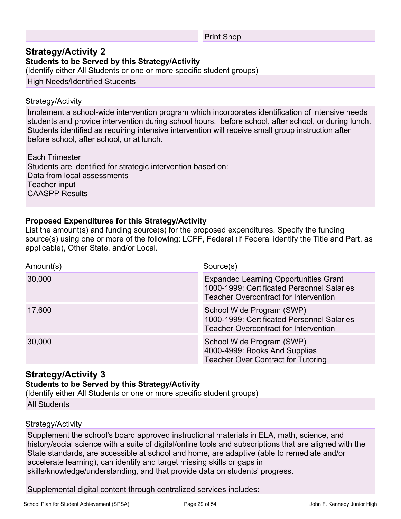#### Print Shop

## **Strategy/Activity 2**

**Students to be Served by this Strategy/Activity**

(Identify either All Students or one or more specific student groups)

High Needs/Identified Students

#### Strategy/Activity

Implement a school-wide intervention program which incorporates identification of intensive needs students and provide intervention during school hours, before school, after school, or during lunch. Students identified as requiring intensive intervention will receive small group instruction after before school, after school, or at lunch.

Each Trimester Students are identified for strategic intervention based on: Data from local assessments Teacher input CAASPP Results

### **Proposed Expenditures for this Strategy/Activity**

List the amount(s) and funding source(s) for the proposed expenditures. Specify the funding source(s) using one or more of the following: LCFF, Federal (if Federal identify the Title and Part, as applicable), Other State, and/or Local.

| Amount(s) | Source(s)                                                                                                                                  |
|-----------|--------------------------------------------------------------------------------------------------------------------------------------------|
| 30,000    | <b>Expanded Learning Opportunities Grant</b><br>1000-1999: Certificated Personnel Salaries<br><b>Teacher Overcontract for Intervention</b> |
| 17,600    | School Wide Program (SWP)<br>1000-1999: Certificated Personnel Salaries<br><b>Teacher Overcontract for Intervention</b>                    |
| 30,000    | School Wide Program (SWP)<br>4000-4999: Books And Supplies<br><b>Teacher Over Contract for Tutoring</b>                                    |

### **Strategy/Activity 3**

### **Students to be Served by this Strategy/Activity**

(Identify either All Students or one or more specific student groups)

All Students

### Strategy/Activity

Supplement the school's board approved instructional materials in ELA, math, science, and history/social science with a suite of digital/online tools and subscriptions that are aligned with the State standards, are accessible at school and home, are adaptive (able to remediate and/or accelerate learning), can identify and target missing skills or gaps in skills/knowledge/understanding, and that provide data on students' progress.

Supplemental digital content through centralized services includes: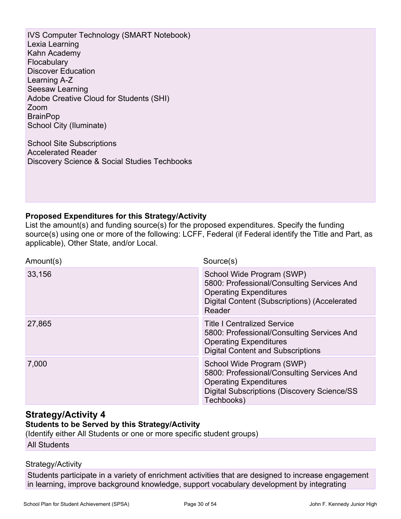IVS Computer Technology (SMART Notebook) Lexia Learning Kahn Academy **Flocabulary** Discover Education Learning A-Z Seesaw Learning Adobe Creative Cloud for Students (SHI) Zoom **BrainPop** School City (Iluminate)

School Site Subscriptions Accelerated Reader Discovery Science & Social Studies Techbooks

### **Proposed Expenditures for this Strategy/Activity**

List the amount(s) and funding source(s) for the proposed expenditures. Specify the funding source(s) using one or more of the following: LCFF, Federal (if Federal identify the Title and Part, as applicable), Other State, and/or Local.

| Amount(s) | Source(s)                                                                                                                                                                     |
|-----------|-------------------------------------------------------------------------------------------------------------------------------------------------------------------------------|
| 33,156    | School Wide Program (SWP)<br>5800: Professional/Consulting Services And<br><b>Operating Expenditures</b><br>Digital Content (Subscriptions) (Accelerated<br>Reader            |
| 27,865    | <b>Title I Centralized Service</b><br>5800: Professional/Consulting Services And<br><b>Operating Expenditures</b><br><b>Digital Content and Subscriptions</b>                 |
| 7,000     | School Wide Program (SWP)<br>5800: Professional/Consulting Services And<br><b>Operating Expenditures</b><br><b>Digital Subscriptions (Discovery Science/SS)</b><br>Techbooks) |

### **Strategy/Activity 4**

### **Students to be Served by this Strategy/Activity**

(Identify either All Students or one or more specific student groups)

All Students

### Strategy/Activity

Students participate in a variety of enrichment activities that are designed to increase engagement in learning, improve background knowledge, support vocabulary development by integrating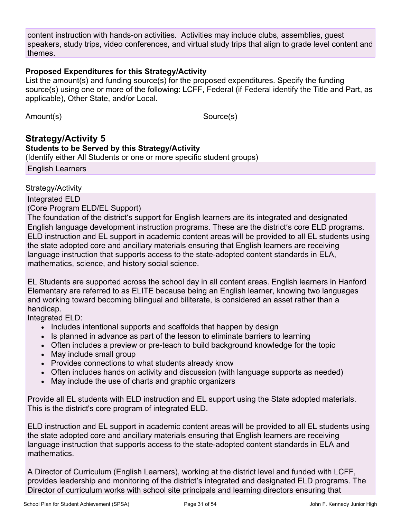content instruction with hands-on activities. Activities may include clubs, assemblies, guest speakers, study trips, video conferences, and virtual study trips that align to grade level content and themes.

### **Proposed Expenditures for this Strategy/Activity**

List the amount(s) and funding source(s) for the proposed expenditures. Specify the funding source(s) using one or more of the following: LCFF, Federal (if Federal identify the Title and Part, as applicable), Other State, and/or Local.

Amount(s) Source(s)

### **Strategy/Activity 5 Students to be Served by this Strategy/Activity** (Identify either All Students or one or more specific student groups) English Learners

Strategy/Activity

Integrated ELD

(Core Program ELD/EL Support)

The foundation of the district's support for English learners are its integrated and designated English language development instruction programs. These are the district's core ELD programs. ELD instruction and EL support in academic content areas will be provided to all EL students using the state adopted core and ancillary materials ensuring that English learners are receiving language instruction that supports access to the state-adopted content standards in ELA, mathematics, science, and history social science.

EL Students are supported across the school day in all content areas. English learners in Hanford Elementary are referred to as ELITE because being an English learner, knowing two languages and working toward becoming bilingual and biliterate, is considered an asset rather than a handicap.

Integrated ELD:

- Includes intentional supports and scaffolds that happen by design
- Is planned in advance as part of the lesson to eliminate barriers to learning
- Often includes a preview or pre-teach to build background knowledge for the topic
- May include small group
- Provides connections to what students already know
- Often includes hands on activity and discussion (with language supports as needed)
- May include the use of charts and graphic organizers

Provide all EL students with ELD instruction and EL support using the State adopted materials. This is the district's core program of integrated ELD.

ELD instruction and EL support in academic content areas will be provided to all EL students using the state adopted core and ancillary materials ensuring that English learners are receiving language instruction that supports access to the state-adopted content standards in ELA and mathematics.

A Director of Curriculum (English Learners), working at the district level and funded with LCFF, provides leadership and monitoring of the district's integrated and designated ELD programs. The Director of curriculum works with school site principals and learning directors ensuring that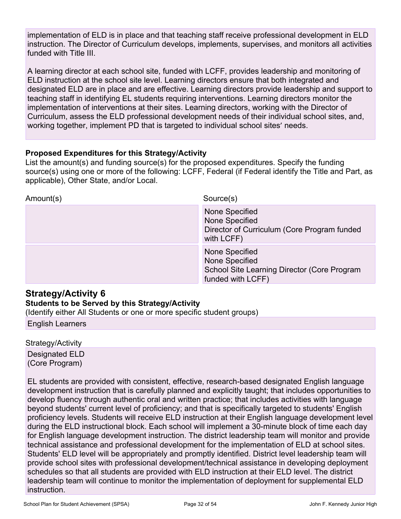implementation of ELD is in place and that teaching staff receive professional development in ELD instruction. The Director of Curriculum develops, implements, supervises, and monitors all activities funded with Title III.

A learning director at each school site, funded with LCFF, provides leadership and monitoring of ELD instruction at the school site level. Learning directors ensure that both integrated and designated ELD are in place and are effective. Learning directors provide leadership and support to teaching staff in identifying EL students requiring interventions. Learning directors monitor the implementation of interventions at their sites. Learning directors, working with the Director of Curriculum, assess the ELD professional development needs of their individual school sites, and, working together, implement PD that is targeted to individual school sites' needs.

### **Proposed Expenditures for this Strategy/Activity**

List the amount(s) and funding source(s) for the proposed expenditures. Specify the funding source(s) using one or more of the following: LCFF, Federal (if Federal identify the Title and Part, as applicable), Other State, and/or Local.

| Amount(s) | Source(s)                                                                                            |
|-----------|------------------------------------------------------------------------------------------------------|
|           | None Specified<br>None Specified<br>Director of Curriculum (Core Program funded<br>with LCFF)        |
|           | None Specified<br>None Specified<br>School Site Learning Director (Core Program<br>funded with LCFF) |

## **Strategy/Activity 6**

### **Students to be Served by this Strategy/Activity**

(Identify either All Students or one or more specific student groups)

English Learners

Strategy/Activity Designated ELD

(Core Program)

EL students are provided with consistent, effective, research-based designated English language development instruction that is carefully planned and explicitly taught; that includes opportunities to develop fluency through authentic oral and written practice; that includes activities with language beyond students' current level of proficiency; and that is specifically targeted to students' English proficiency levels. Students will receive ELD instruction at their English language development level during the ELD instructional block. Each school will implement a 30-minute block of time each day for English language development instruction. The district leadership team will monitor and provide technical assistance and professional development for the implementation of ELD at school sites. Students' ELD level will be appropriately and promptly identified. District level leadership team will provide school sites with professional development/technical assistance in developing deployment schedules so that all students are provided with ELD instruction at their ELD level. The district leadership team will continue to monitor the implementation of deployment for supplemental ELD instruction.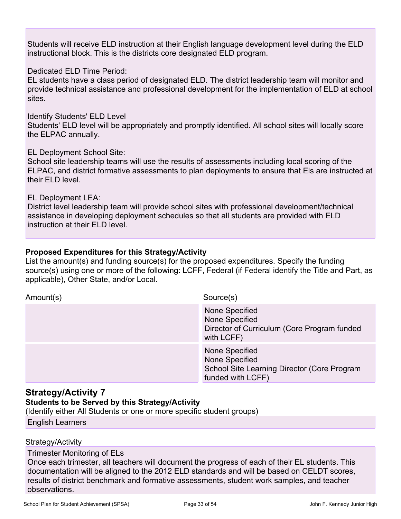Students will receive ELD instruction at their English language development level during the ELD instructional block. This is the districts core designated ELD program.

Dedicated FLD Time Period:

EL students have a class period of designated ELD. The district leadership team will monitor and provide technical assistance and professional development for the implementation of ELD at school sites.

Identify Students' ELD Level

Students' ELD level will be appropriately and promptly identified. All school sites will locally score the ELPAC annually.

EL Deployment School Site:

School site leadership teams will use the results of assessments including local scoring of the ELPAC, and district formative assessments to plan deployments to ensure that Els are instructed at their ELD level.

EL Deployment LEA:

District level leadership team will provide school sites with professional development/technical assistance in developing deployment schedules so that all students are provided with ELD instruction at their ELD level.

### **Proposed Expenditures for this Strategy/Activity**

List the amount(s) and funding source(s) for the proposed expenditures. Specify the funding source(s) using one or more of the following: LCFF, Federal (if Federal identify the Title and Part, as applicable), Other State, and/or Local.

| Amount(s) | Source(s)                                                                                            |
|-----------|------------------------------------------------------------------------------------------------------|
|           | None Specified<br>None Specified<br>Director of Curriculum (Core Program funded<br>with LCFF)        |
|           | None Specified<br>None Specified<br>School Site Learning Director (Core Program<br>funded with LCFF) |

### **Strategy/Activity 7**

### **Students to be Served by this Strategy/Activity**

(Identify either All Students or one or more specific student groups) English Learners

Strategy/Activity

Trimester Monitoring of ELs

Once each trimester, all teachers will document the progress of each of their EL students. This documentation will be aligned to the 2012 ELD standards and will be based on CELDT scores, results of district benchmark and formative assessments, student work samples, and teacher observations.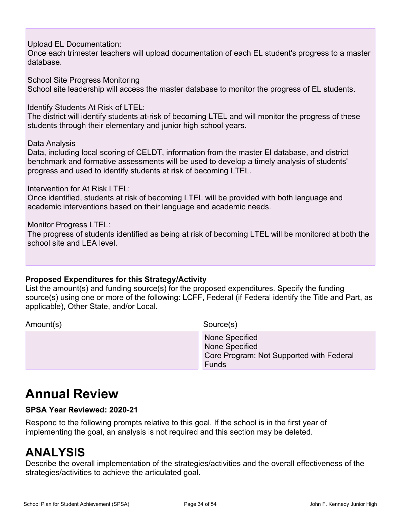Upload EL Documentation:

Once each trimester teachers will upload documentation of each EL student's progress to a master database.

School Site Progress Monitoring School site leadership will access the master database to monitor the progress of EL students.

Identify Students At Risk of LTEL:

The district will identify students at-risk of becoming LTEL and will monitor the progress of these students through their elementary and junior high school years.

Data Analysis

Data, including local scoring of CELDT, information from the master El database, and district benchmark and formative assessments will be used to develop a timely analysis of students' progress and used to identify students at risk of becoming LTEL.

Intervention for At Risk LTEL:

Once identified, students at risk of becoming LTEL will be provided with both language and academic interventions based on their language and academic needs.

Monitor Progress LTEL:

The progress of students identified as being at risk of becoming LTEL will be monitored at both the school site and LEA level.

### **Proposed Expenditures for this Strategy/Activity**

List the amount(s) and funding source(s) for the proposed expenditures. Specify the funding source(s) using one or more of the following: LCFF, Federal (if Federal identify the Title and Part, as applicable), Other State, and/or Local.

Amount(s) Source(s)

 None Specified None Specified Core Program: Not Supported with Federal Funds

# **Annual Review**

### **SPSA Year Reviewed: 2020-21**

Respond to the following prompts relative to this goal. If the school is in the first year of implementing the goal, an analysis is not required and this section may be deleted.

# **ANALYSIS**

Describe the overall implementation of the strategies/activities and the overall effectiveness of the strategies/activities to achieve the articulated goal.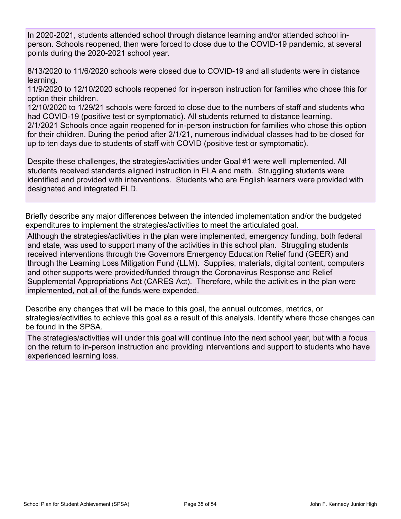In 2020-2021, students attended school through distance learning and/or attended school inperson. Schools reopened, then were forced to close due to the COVID-19 pandemic, at several points during the 2020-2021 school year.

8/13/2020 to 11/6/2020 schools were closed due to COVID-19 and all students were in distance learning.

11/9/2020 to 12/10/2020 schools reopened for in-person instruction for families who chose this for option their children.

12/10/2020 to 1/29/21 schools were forced to close due to the numbers of staff and students who had COVID-19 (positive test or symptomatic). All students returned to distance learning.

2/1/2021 Schools once again reopened for in-person instruction for families who chose this option for their children. During the period after 2/1/21, numerous individual classes had to be closed for up to ten days due to students of staff with COVID (positive test or symptomatic).

Despite these challenges, the strategies/activities under Goal #1 were well implemented. All students received standards aligned instruction in ELA and math. Struggling students were identified and provided with interventions. Students who are English learners were provided with designated and integrated ELD.

Briefly describe any major differences between the intended implementation and/or the budgeted expenditures to implement the strategies/activities to meet the articulated goal.

Although the strategies/activities in the plan were implemented, emergency funding, both federal and state, was used to support many of the activities in this school plan. Struggling students received interventions through the Governors Emergency Education Relief fund (GEER) and through the Learning Loss Mitigation Fund (LLM). Supplies, materials, digital content, computers and other supports were provided/funded through the Coronavirus Response and Relief Supplemental Appropriations Act (CARES Act). Therefore, while the activities in the plan were implemented, not all of the funds were expended.

Describe any changes that will be made to this goal, the annual outcomes, metrics, or strategies/activities to achieve this goal as a result of this analysis. Identify where those changes can be found in the SPSA.

The strategies/activities will under this goal will continue into the next school year, but with a focus on the return to in-person instruction and providing interventions and support to students who have experienced learning loss.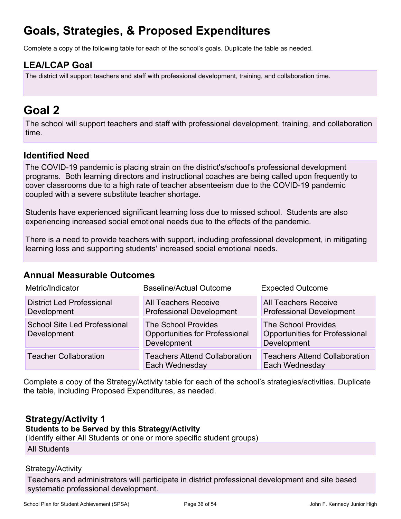# **Goals, Strategies, & Proposed Expenditures**

Complete a copy of the following table for each of the school's goals. Duplicate the table as needed.

## **LEA/LCAP Goal**

The district will support teachers and staff with professional development, training, and collaboration time.

## **Goal 2**

The school will support teachers and staff with professional development, training, and collaboration time.

## **Identified Need**

The COVID-19 pandemic is placing strain on the district's/school's professional development programs. Both learning directors and instructional coaches are being called upon frequently to cover classrooms due to a high rate of teacher absenteeism due to the COVID-19 pandemic coupled with a severe substitute teacher shortage.

Students have experienced significant learning loss due to missed school. Students are also experiencing increased social emotional needs due to the effects of the pandemic.

There is a need to provide teachers with support, including professional development, in mitigating learning loss and supporting students' increased social emotional needs.

### **Annual Measurable Outcomes**

| Metric/Indicator                                   | Baseline/Actual Outcome                                                            | <b>Expected Outcome</b>                                                            |
|----------------------------------------------------|------------------------------------------------------------------------------------|------------------------------------------------------------------------------------|
| <b>District Led Professional</b><br>Development    | <b>All Teachers Receive</b><br><b>Professional Development</b>                     | <b>All Teachers Receive</b><br><b>Professional Development</b>                     |
| <b>School Site Led Professional</b><br>Development | <b>The School Provides</b><br><b>Opportunities for Professional</b><br>Development | <b>The School Provides</b><br><b>Opportunities for Professional</b><br>Development |
| <b>Teacher Collaboration</b>                       | <b>Teachers Attend Collaboration</b><br>Each Wednesday                             | <b>Teachers Attend Collaboration</b><br>Each Wednesday                             |

Complete a copy of the Strategy/Activity table for each of the school's strategies/activities. Duplicate the table, including Proposed Expenditures, as needed.

## **Strategy/Activity 1**

**Students to be Served by this Strategy/Activity**

(Identify either All Students or one or more specific student groups)

All Students

### Strategy/Activity

Teachers and administrators will participate in district professional development and site based systematic professional development.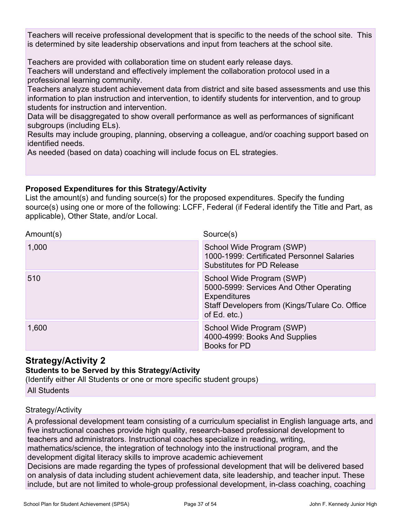Teachers will receive professional development that is specific to the needs of the school site. This is determined by site leadership observations and input from teachers at the school site.

Teachers are provided with collaboration time on student early release days.

Teachers will understand and effectively implement the collaboration protocol used in a professional learning community.

Teachers analyze student achievement data from district and site based assessments and use this information to plan instruction and intervention, to identify students for intervention, and to group students for instruction and intervention.

Data will be disaggregated to show overall performance as well as performances of significant subgroups (including ELs).

Results may include grouping, planning, observing a colleague, and/or coaching support based on identified needs.

As needed (based on data) coaching will include focus on EL strategies.

### **Proposed Expenditures for this Strategy/Activity**

List the amount(s) and funding source(s) for the proposed expenditures. Specify the funding source(s) using one or more of the following: LCFF, Federal (if Federal identify the Title and Part, as applicable), Other State, and/or Local.

| Amount(s) | Source(s)                                                                                                                                                     |
|-----------|---------------------------------------------------------------------------------------------------------------------------------------------------------------|
| 1,000     | School Wide Program (SWP)<br>1000-1999: Certificated Personnel Salaries<br><b>Substitutes for PD Release</b>                                                  |
| 510       | School Wide Program (SWP)<br>5000-5999: Services And Other Operating<br><b>Expenditures</b><br>Staff Developers from (Kings/Tulare Co. Office<br>of Ed. etc.) |
| 1,600     | School Wide Program (SWP)<br>4000-4999: Books And Supplies<br>Books for PD                                                                                    |

## **Strategy/Activity 2**

### **Students to be Served by this Strategy/Activity**

(Identify either All Students or one or more specific student groups)

All Students

### Strategy/Activity

A professional development team consisting of a curriculum specialist in English language arts, and five instructional coaches provide high quality, research-based professional development to teachers and administrators. Instructional coaches specialize in reading, writing, mathematics/science, the integration of technology into the instructional program, and the development digital literacy skills to improve academic achievement

Decisions are made regarding the types of professional development that will be delivered based on analysis of data including student achievement data, site leadership, and teacher input. These include, but are not limited to whole-group professional development, in-class coaching, coaching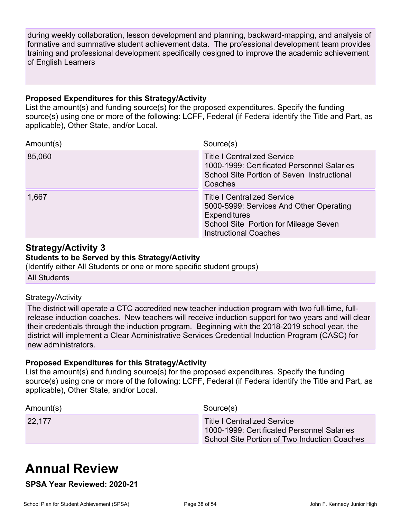during weekly collaboration, lesson development and planning, backward-mapping, and analysis of formative and summative student achievement data. The professional development team provides training and professional development specifically designed to improve the academic achievement of English Learners

### **Proposed Expenditures for this Strategy/Activity**

List the amount(s) and funding source(s) for the proposed expenditures. Specify the funding source(s) using one or more of the following: LCFF, Federal (if Federal identify the Title and Part, as applicable), Other State, and/or Local.

| Amount(s) | Source(s)                                                                                                                                                                     |
|-----------|-------------------------------------------------------------------------------------------------------------------------------------------------------------------------------|
| 85,060    | <b>Title I Centralized Service</b><br>1000-1999: Certificated Personnel Salaries<br>School Site Portion of Seven Instructional<br>Coaches                                     |
| 1,667     | <b>Title I Centralized Service</b><br>5000-5999: Services And Other Operating<br><b>Expenditures</b><br>School Site Portion for Mileage Seven<br><b>Instructional Coaches</b> |

## **Strategy/Activity 3**

#### **Students to be Served by this Strategy/Activity**

(Identify either All Students or one or more specific student groups)

All Students

### Strategy/Activity

The district will operate a CTC accredited new teacher induction program with two full-time, fullrelease induction coaches. New teachers will receive induction support for two years and will clear their credentials through the induction program. Beginning with the 2018-2019 school year, the district will implement a Clear Administrative Services Credential Induction Program (CASC) for new administrators.

### **Proposed Expenditures for this Strategy/Activity**

List the amount(s) and funding source(s) for the proposed expenditures. Specify the funding source(s) using one or more of the following: LCFF, Federal (if Federal identify the Title and Part, as applicable), Other State, and/or Local.

| Amount(s) | Source(s)                                                                                                                        |
|-----------|----------------------------------------------------------------------------------------------------------------------------------|
| 22,177    | <b>Title I Centralized Service</b><br>1000-1999: Certificated Personnel Salaries<br>School Site Portion of Two Induction Coaches |

# **Annual Review**

**SPSA Year Reviewed: 2020-21**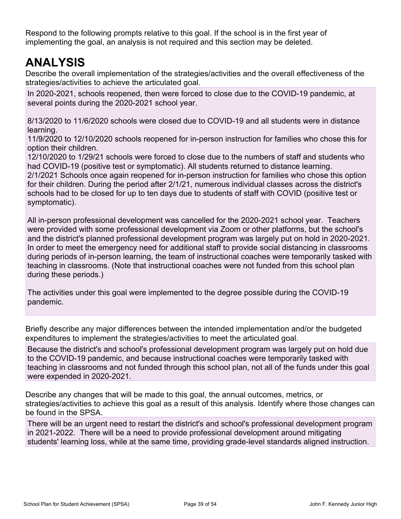Respond to the following prompts relative to this goal. If the school is in the first year of implementing the goal, an analysis is not required and this section may be deleted.

# **ANALYSIS**

Describe the overall implementation of the strategies/activities and the overall effectiveness of the strategies/activities to achieve the articulated goal.

In 2020-2021, schools reopened, then were forced to close due to the COVID-19 pandemic, at several points during the 2020-2021 school year.

8/13/2020 to 11/6/2020 schools were closed due to COVID-19 and all students were in distance learning.

11/9/2020 to 12/10/2020 schools reopened for in-person instruction for families who chose this for option their children.

12/10/2020 to 1/29/21 schools were forced to close due to the numbers of staff and students who had COVID-19 (positive test or symptomatic). All students returned to distance learning.

2/1/2021 Schools once again reopened for in-person instruction for families who chose this option for their children. During the period after 2/1/21, numerous individual classes across the district's schools had to be closed for up to ten days due to students of staff with COVID (positive test or symptomatic).

All in-person professional development was cancelled for the 2020-2021 school year. Teachers were provided with some professional development via Zoom or other platforms, but the school's and the district's planned professional development program was largely put on hold in 2020-2021. In order to meet the emergency need for additional staff to provide social distancing in classrooms during periods of in-person learning, the team of instructional coaches were temporarily tasked with teaching in classrooms. (Note that instructional coaches were not funded from this school plan during these periods.)

The activities under this goal were implemented to the degree possible during the COVID-19 pandemic.

Briefly describe any major differences between the intended implementation and/or the budgeted expenditures to implement the strategies/activities to meet the articulated goal.

Because the district's and school's professional development program was largely put on hold due to the COVID-19 pandemic, and because instructional coaches were temporarily tasked with teaching in classrooms and not funded through this school plan, not all of the funds under this goal were expended in 2020-2021.

Describe any changes that will be made to this goal, the annual outcomes, metrics, or strategies/activities to achieve this goal as a result of this analysis. Identify where those changes can be found in the SPSA.

There will be an urgent need to restart the district's and school's professional development program in 2021-2022. There will be a need to provide professional development around mitigating students' learning loss, while at the same time, providing grade-level standards aligned instruction.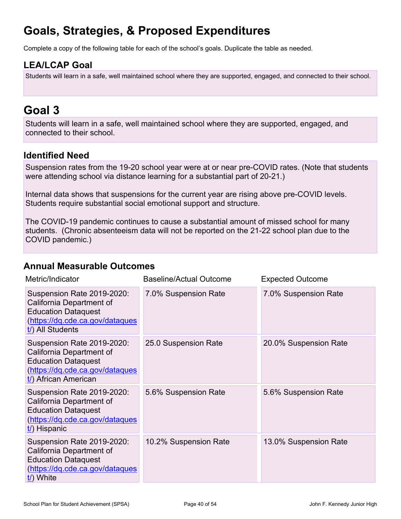# **Goals, Strategies, & Proposed Expenditures**

Complete a copy of the following table for each of the school's goals. Duplicate the table as needed.

## **LEA/LCAP Goal**

Students will learn in a safe, well maintained school where they are supported, engaged, and connected to their school.

## **Goal 3**

Students will learn in a safe, well maintained school where they are supported, engaged, and connected to their school.

## **Identified Need**

Suspension rates from the 19-20 school year were at or near pre-COVID rates. (Note that students were attending school via distance learning for a substantial part of 20-21.)

Internal data shows that suspensions for the current year are rising above pre-COVID levels. Students require substantial social emotional support and structure.

The COVID-19 pandemic continues to cause a substantial amount of missed school for many students. (Chronic absenteeism data will not be reported on the 21-22 school plan due to the COVID pandemic.)

### **Annual Measurable Outcomes**

| Metric/Indicator                                                                                                                                | <b>Baseline/Actual Outcome</b> | <b>Expected Outcome</b> |
|-------------------------------------------------------------------------------------------------------------------------------------------------|--------------------------------|-------------------------|
| Suspension Rate 2019-2020:<br>California Department of<br><b>Education Dataquest</b><br>(https://dq.cde.ca.gov/dataques<br>t/) All Students     | 7.0% Suspension Rate           | 7.0% Suspension Rate    |
| Suspension Rate 2019-2020:<br>California Department of<br><b>Education Dataquest</b><br>(https://dq.cde.ca.gov/dataques<br>t/) African American | 25.0 Suspension Rate           | 20.0% Suspension Rate   |
| Suspension Rate 2019-2020:<br>California Department of<br><b>Education Dataquest</b><br>(https://dq.cde.ca.gov/dataques<br>$t$ ) Hispanic       | 5.6% Suspension Rate           | 5.6% Suspension Rate    |
| Suspension Rate 2019-2020:<br>California Department of<br><b>Education Dataquest</b><br>(https://dq.cde.ca.gov/dataques<br>t/) White            | 10.2% Suspension Rate          | 13.0% Suspension Rate   |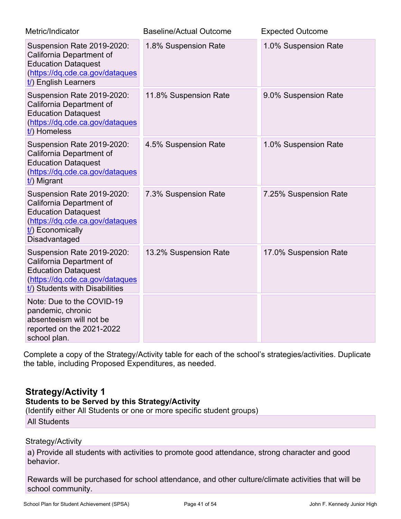| Metric/Indicator                                                                                                                                             | <b>Baseline/Actual Outcome</b> | <b>Expected Outcome</b> |
|--------------------------------------------------------------------------------------------------------------------------------------------------------------|--------------------------------|-------------------------|
| Suspension Rate 2019-2020:<br>California Department of<br><b>Education Dataquest</b><br>(https://dq.cde.ca.gov/dataques<br>t/) English Learners              | 1.8% Suspension Rate           | 1.0% Suspension Rate    |
| Suspension Rate 2019-2020:<br>California Department of<br><b>Education Dataquest</b><br>(https://dq.cde.ca.gov/dataques<br>t/) Homeless                      | 11.8% Suspension Rate          | 9.0% Suspension Rate    |
| Suspension Rate 2019-2020:<br>California Department of<br><b>Education Dataquest</b><br>(https://dq.cde.ca.gov/dataques<br>t/) Migrant                       | 4.5% Suspension Rate           | 1.0% Suspension Rate    |
| Suspension Rate 2019-2020:<br>California Department of<br><b>Education Dataquest</b><br>(https://dq.cde.ca.gov/dataques<br>t/) Economically<br>Disadvantaged | 7.3% Suspension Rate           | 7.25% Suspension Rate   |
| Suspension Rate 2019-2020:<br>California Department of<br><b>Education Dataquest</b><br>(https://dq.cde.ca.gov/dataques<br>t/) Students with Disabilities    | 13.2% Suspension Rate          | 17.0% Suspension Rate   |
| Note: Due to the COVID-19<br>pandemic, chronic<br>absenteeism will not be<br>reported on the 2021-2022<br>school plan.                                       |                                |                         |

Complete a copy of the Strategy/Activity table for each of the school's strategies/activities. Duplicate the table, including Proposed Expenditures, as needed.

### **Strategy/Activity 1**

## **Students to be Served by this Strategy/Activity**

(Identify either All Students or one or more specific student groups)

All Students

### Strategy/Activity

a) Provide all students with activities to promote good attendance, strong character and good behavior.

Rewards will be purchased for school attendance, and other culture/climate activities that will be school community.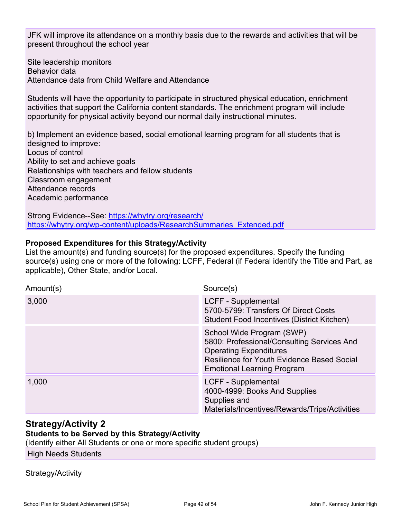JFK will improve its attendance on a monthly basis due to the rewards and activities that will be present throughout the school year

Site leadership monitors Behavior data Attendance data from Child Welfare and Attendance

Students will have the opportunity to participate in structured physical education, enrichment activities that support the California content standards. The enrichment program will include opportunity for physical activity beyond our normal daily instructional minutes.

b) Implement an evidence based, social emotional learning program for all students that is designed to improve: Locus of control Ability to set and achieve goals Relationships with teachers and fellow students Classroom engagement Attendance records Academic performance

Strong Evidence--See: <https://whytry.org/research/> [https://whytry.org/wp-content/uploads/ResearchSummaries\\_Extended.pdf](https://whytry.org/wp-content/uploads/ResearchSummaries_Extended.pdf)

### **Proposed Expenditures for this Strategy/Activity**

List the amount(s) and funding source(s) for the proposed expenditures. Specify the funding source(s) using one or more of the following: LCFF, Federal (if Federal identify the Title and Part, as applicable), Other State, and/or Local.

| Amount(s) | Source(s)                                                                                                                                                                                          |
|-----------|----------------------------------------------------------------------------------------------------------------------------------------------------------------------------------------------------|
| 3,000     | LCFF - Supplemental<br>5700-5799: Transfers Of Direct Costs<br>Student Food Incentives (District Kitchen)                                                                                          |
|           | School Wide Program (SWP)<br>5800: Professional/Consulting Services And<br><b>Operating Expenditures</b><br><b>Resilience for Youth Evidence Based Social</b><br><b>Emotional Learning Program</b> |
| 1,000     | LCFF - Supplemental<br>4000-4999: Books And Supplies<br>Supplies and<br>Materials/Incentives/Rewards/Trips/Activities                                                                              |

### **Strategy/Activity 2 Students to be Served by this Strategy/Activity**

(Identify either All Students or one or more specific student groups)

High Needs Students

### Strategy/Activity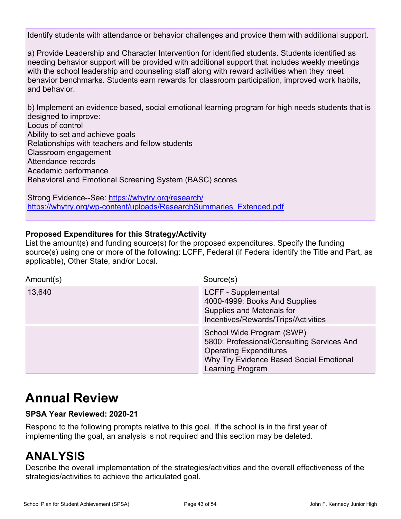Identify students with attendance or behavior challenges and provide them with additional support.

a) Provide Leadership and Character Intervention for identified students. Students identified as needing behavior support will be provided with additional support that includes weekly meetings with the school leadership and counseling staff along with reward activities when they meet behavior benchmarks. Students earn rewards for classroom participation, improved work habits, and behavior.

b) Implement an evidence based, social emotional learning program for high needs students that is designed to improve: Locus of control Ability to set and achieve goals Relationships with teachers and fellow students Classroom engagement Attendance records Academic performance Behavioral and Emotional Screening System (BASC) scores

Strong Evidence--See: <https://whytry.org/research/> [https://whytry.org/wp-content/uploads/ResearchSummaries\\_Extended.pdf](https://whytry.org/wp-content/uploads/ResearchSummaries_Extended.pdf)

### **Proposed Expenditures for this Strategy/Activity**

List the amount(s) and funding source(s) for the proposed expenditures. Specify the funding source(s) using one or more of the following: LCFF, Federal (if Federal identify the Title and Part, as applicable), Other State, and/or Local.

| Amount(s) | Source(s)                                                                                                                                                                      |
|-----------|--------------------------------------------------------------------------------------------------------------------------------------------------------------------------------|
| 13,640    | <b>LCFF - Supplemental</b><br>4000-4999: Books And Supplies<br>Supplies and Materials for<br>Incentives/Rewards/Trips/Activities                                               |
|           | School Wide Program (SWP)<br>5800: Professional/Consulting Services And<br><b>Operating Expenditures</b><br>Why Try Evidence Based Social Emotional<br><b>Learning Program</b> |

# **Annual Review**

### **SPSA Year Reviewed: 2020-21**

Respond to the following prompts relative to this goal. If the school is in the first year of implementing the goal, an analysis is not required and this section may be deleted.

# **ANALYSIS**

Describe the overall implementation of the strategies/activities and the overall effectiveness of the strategies/activities to achieve the articulated goal.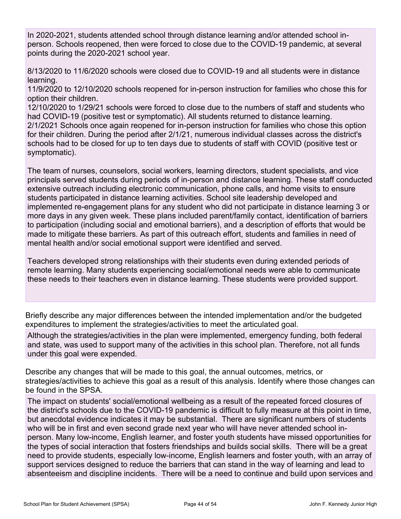In 2020-2021, students attended school through distance learning and/or attended school inperson. Schools reopened, then were forced to close due to the COVID-19 pandemic, at several points during the 2020-2021 school year.

8/13/2020 to 11/6/2020 schools were closed due to COVID-19 and all students were in distance learning.

11/9/2020 to 12/10/2020 schools reopened for in-person instruction for families who chose this for option their children.

12/10/2020 to 1/29/21 schools were forced to close due to the numbers of staff and students who had COVID-19 (positive test or symptomatic). All students returned to distance learning. 2/1/2021 Schools once again reopened for in-person instruction for families who chose this option for their children. During the period after 2/1/21, numerous individual classes across the district's schools had to be closed for up to ten days due to students of staff with COVID (positive test or symptomatic).

The team of nurses, counselors, social workers, learning directors, student specialists, and vice principals served students during periods of in-person and distance learning. These staff conducted extensive outreach including electronic communication, phone calls, and home visits to ensure students participated in distance learning activities. School site leadership developed and implemented re-engagement plans for any student who did not participate in distance learning 3 or more days in any given week. These plans included parent/family contact, identification of barriers to participation (including social and emotional barriers), and a description of efforts that would be made to mitigate these barriers. As part of this outreach effort, students and families in need of mental health and/or social emotional support were identified and served.

Teachers developed strong relationships with their students even during extended periods of remote learning. Many students experiencing social/emotional needs were able to communicate these needs to their teachers even in distance learning. These students were provided support.

Briefly describe any major differences between the intended implementation and/or the budgeted expenditures to implement the strategies/activities to meet the articulated goal.

Although the strategies/activities in the plan were implemented, emergency funding, both federal and state, was used to support many of the activities in this school plan. Therefore, not all funds under this goal were expended.

Describe any changes that will be made to this goal, the annual outcomes, metrics, or strategies/activities to achieve this goal as a result of this analysis. Identify where those changes can be found in the SPSA.

The impact on students' social/emotional wellbeing as a result of the repeated forced closures of the district's schools due to the COVID-19 pandemic is difficult to fully measure at this point in time, but anecdotal evidence indicates it may be substantial. There are significant numbers of students who will be in first and even second grade next year who will have never attended school inperson. Many low-income, English learner, and foster youth students have missed opportunities for the types of social interaction that fosters friendships and builds social skills. There will be a great need to provide students, especially low-income, English learners and foster youth, with an array of support services designed to reduce the barriers that can stand in the way of learning and lead to absenteeism and discipline incidents. There will be a need to continue and build upon services and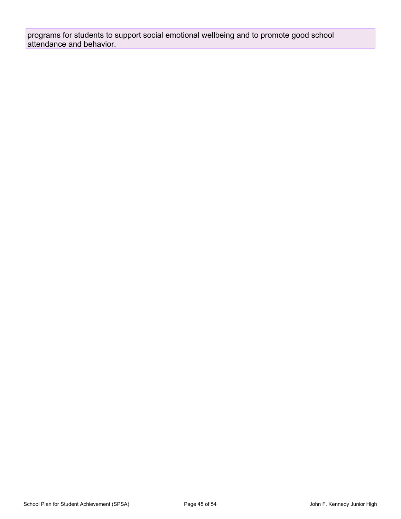programs for students to support social emotional wellbeing and to promote good school attendance and behavior.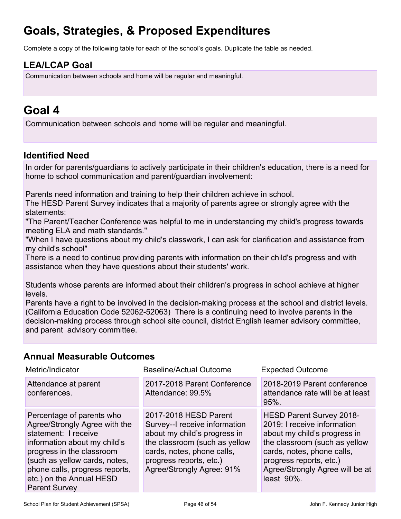# **Goals, Strategies, & Proposed Expenditures**

Complete a copy of the following table for each of the school's goals. Duplicate the table as needed.

## **LEA/LCAP Goal**

Communication between schools and home will be regular and meaningful.

## **Goal 4**

Communication between schools and home will be regular and meaningful.

## **Identified Need**

In order for parents/guardians to actively participate in their children's education, there is a need for home to school communication and parent/guardian involvement:

Parents need information and training to help their children achieve in school.

The HESD Parent Survey indicates that a majority of parents agree or strongly agree with the statements:

"The Parent/Teacher Conference was helpful to me in understanding my child's progress towards meeting ELA and math standards."

"When I have questions about my child's classwork, I can ask for clarification and assistance from my child's school"

There is a need to continue providing parents with information on their child's progress and with assistance when they have questions about their students' work.

Students whose parents are informed about their children's progress in school achieve at higher levels.

Parents have a right to be involved in the decision-making process at the school and district levels. (California Education Code 52062-52063) There is a continuing need to involve parents in the decision-making process through school site council, district English learner advisory committee, and parent advisory committee.

## **Annual Measurable Outcomes**

| Metric/Indicator                                                                                                                                                                                                                                                       | <b>Baseline/Actual Outcome</b>                                                                                                                                                                                | <b>Expected Outcome</b>                                                                                                                                                                                                                   |
|------------------------------------------------------------------------------------------------------------------------------------------------------------------------------------------------------------------------------------------------------------------------|---------------------------------------------------------------------------------------------------------------------------------------------------------------------------------------------------------------|-------------------------------------------------------------------------------------------------------------------------------------------------------------------------------------------------------------------------------------------|
| Attendance at parent<br>conferences.                                                                                                                                                                                                                                   | 2017-2018 Parent Conference<br>Attendance: 99.5%                                                                                                                                                              | 2018-2019 Parent conference<br>attendance rate will be at least<br>$95%$ .                                                                                                                                                                |
| Percentage of parents who<br>Agree/Strongly Agree with the<br>statement: I receive<br>information about my child's<br>progress in the classroom<br>(such as yellow cards, notes,<br>phone calls, progress reports,<br>etc.) on the Annual HESD<br><b>Parent Survey</b> | 2017-2018 HESD Parent<br>Survey--I receive information<br>about my child's progress in<br>the classroom (such as yellow<br>cards, notes, phone calls,<br>progress reports, etc.)<br>Agree/Strongly Agree: 91% | <b>HESD Parent Survey 2018-</b><br>2019: I receive information<br>about my child's progress in<br>the classroom (such as yellow<br>cards, notes, phone calls,<br>progress reports, etc.)<br>Agree/Strongly Agree will be at<br>least 90%. |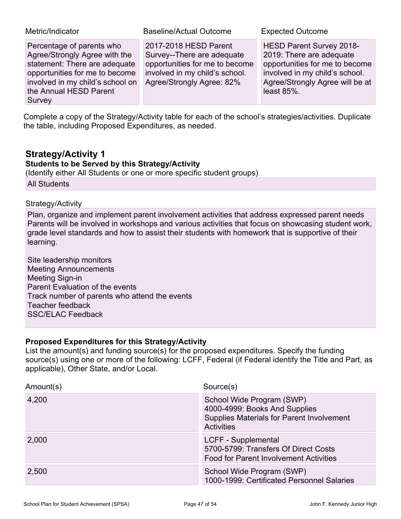| Metric/Indicator                                                                                                                                                                                      | <b>Baseline/Actual Outcome</b>                                                                                                                       | <b>Expected Outcome</b>                                                                                                                                                       |
|-------------------------------------------------------------------------------------------------------------------------------------------------------------------------------------------------------|------------------------------------------------------------------------------------------------------------------------------------------------------|-------------------------------------------------------------------------------------------------------------------------------------------------------------------------------|
| Percentage of parents who<br>Agree/Strongly Agree with the<br>statement: There are adequate<br>opportunities for me to become<br>involved in my child's school on<br>the Annual HESD Parent<br>Survey | 2017-2018 HESD Parent<br>Survey--There are adequate<br>opportunities for me to become<br>involved in my child's school.<br>Agree/Strongly Agree: 82% | HESD Parent Survey 2018-<br>2019: There are adequate<br>opportunities for me to become<br>involved in my child's school.<br>Agree/Strongly Agree will be at<br>least $85\%$ . |

Complete a copy of the Strategy/Activity table for each of the school's strategies/activities. Duplicate the table, including Proposed Expenditures, as needed.

## **Strategy/Activity 1**

### **Students to be Served by this Strategy/Activity**

(Identify either All Students or one or more specific student groups) All Students

### Strategy/Activity

Plan, organize and implement parent involvement activities that address expressed parent needs Parents will be involved in workshops and various activities that focus on showcasing student work, grade level standards and how to assist their students with homework that is supportive of their learning.

Site leadership monitors Meeting Announcements Meeting Sign-in Parent Evaluation of the events Track number of parents who attend the events Teacher feedback SSC/ELAC Feedback

### **Proposed Expenditures for this Strategy/Activity**

List the amount(s) and funding source(s) for the proposed expenditures. Specify the funding source(s) using one or more of the following: LCFF, Federal (if Federal identify the Title and Part, as applicable), Other State, and/or Local.

| Amount(s) | Source(s)                                                                                                                    |
|-----------|------------------------------------------------------------------------------------------------------------------------------|
| 4,200     | School Wide Program (SWP)<br>4000-4999: Books And Supplies<br>Supplies Materials for Parent Involvement<br><b>Activities</b> |
| 2,000     | LCFF - Supplemental<br>5700-5799: Transfers Of Direct Costs<br><b>Food for Parent Involvement Activities</b>                 |
| 2,500     | School Wide Program (SWP)<br>1000-1999: Certificated Personnel Salaries                                                      |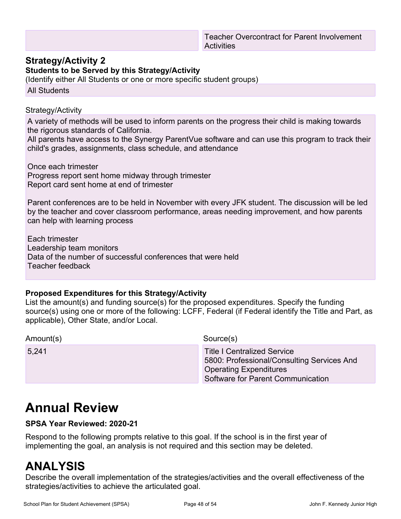### **Strategy/Activity 2**

**Students to be Served by this Strategy/Activity**

(Identify either All Students or one or more specific student groups)

All Students

#### Strategy/Activity

A variety of methods will be used to inform parents on the progress their child is making towards the rigorous standards of California.

All parents have access to the Synergy ParentVue software and can use this program to track their child's grades, assignments, class schedule, and attendance

Once each trimester Progress report sent home midway through trimester Report card sent home at end of trimester

Parent conferences are to be held in November with every JFK student. The discussion will be led by the teacher and cover classroom performance, areas needing improvement, and how parents can help with learning process

Each trimester Leadership team monitors Data of the number of successful conferences that were held Teacher feedback

### **Proposed Expenditures for this Strategy/Activity**

List the amount(s) and funding source(s) for the proposed expenditures. Specify the funding source(s) using one or more of the following: LCFF, Federal (if Federal identify the Title and Part, as applicable), Other State, and/or Local.

Amount(s) Source(s) 5,241 Title I Centralized Service 5800: Professional/Consulting Services And Operating Expenditures Software for Parent Communication

# **Annual Review**

### **SPSA Year Reviewed: 2020-21**

Respond to the following prompts relative to this goal. If the school is in the first year of implementing the goal, an analysis is not required and this section may be deleted.

## **ANALYSIS**

Describe the overall implementation of the strategies/activities and the overall effectiveness of the strategies/activities to achieve the articulated goal.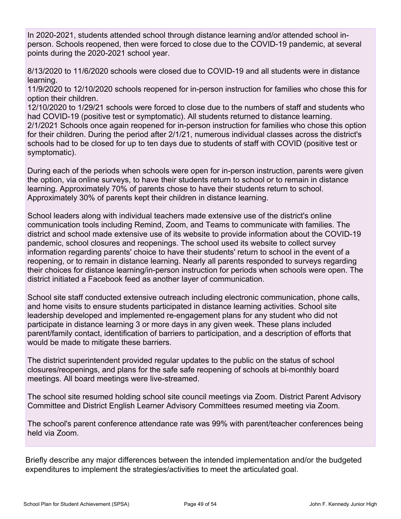In 2020-2021, students attended school through distance learning and/or attended school inperson. Schools reopened, then were forced to close due to the COVID-19 pandemic, at several points during the 2020-2021 school year.

8/13/2020 to 11/6/2020 schools were closed due to COVID-19 and all students were in distance learning.

11/9/2020 to 12/10/2020 schools reopened for in-person instruction for families who chose this for option their children.

12/10/2020 to 1/29/21 schools were forced to close due to the numbers of staff and students who had COVID-19 (positive test or symptomatic). All students returned to distance learning. 2/1/2021 Schools once again reopened for in-person instruction for families who chose this option for their children. During the period after 2/1/21, numerous individual classes across the district's schools had to be closed for up to ten days due to students of staff with COVID (positive test or symptomatic).

During each of the periods when schools were open for in-person instruction, parents were given the option, via online surveys, to have their students return to school or to remain in distance learning. Approximately 70% of parents chose to have their students return to school. Approximately 30% of parents kept their children in distance learning.

School leaders along with individual teachers made extensive use of the district's online communication tools including Remind, Zoom, and Teams to communicate with families. The district and school made extensive use of its website to provide information about the COVID-19 pandemic, school closures and reopenings. The school used its website to collect survey information regarding parents' choice to have their students' return to school in the event of a reopening, or to remain in distance learning. Nearly all parents responded to surveys regarding their choices for distance learning/in-person instruction for periods when schools were open. The district initiated a Facebook feed as another layer of communication.

School site staff conducted extensive outreach including electronic communication, phone calls, and home visits to ensure students participated in distance learning activities. School site leadership developed and implemented re-engagement plans for any student who did not participate in distance learning 3 or more days in any given week. These plans included parent/family contact, identification of barriers to participation, and a description of efforts that would be made to mitigate these barriers.

The district superintendent provided regular updates to the public on the status of school closures/reopenings, and plans for the safe safe reopening of schools at bi-monthly board meetings. All board meetings were live-streamed.

The school site resumed holding school site council meetings via Zoom. District Parent Advisory Committee and District English Learner Advisory Committees resumed meeting via Zoom.

The school's parent conference attendance rate was 99% with parent/teacher conferences being held via Zoom.

Briefly describe any major differences between the intended implementation and/or the budgeted expenditures to implement the strategies/activities to meet the articulated goal.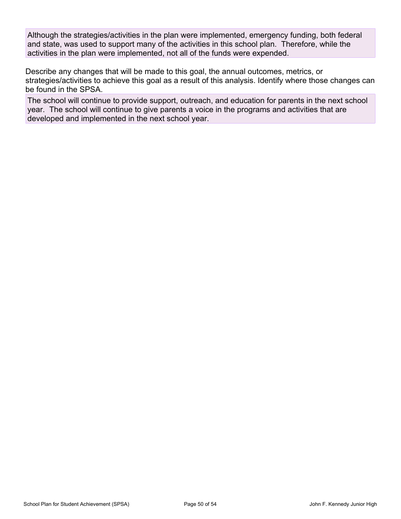Although the strategies/activities in the plan were implemented, emergency funding, both federal and state, was used to support many of the activities in this school plan. Therefore, while the activities in the plan were implemented, not all of the funds were expended.

Describe any changes that will be made to this goal, the annual outcomes, metrics, or strategies/activities to achieve this goal as a result of this analysis. Identify where those changes can be found in the SPSA.

The school will continue to provide support, outreach, and education for parents in the next school year. The school will continue to give parents a voice in the programs and activities that are developed and implemented in the next school year.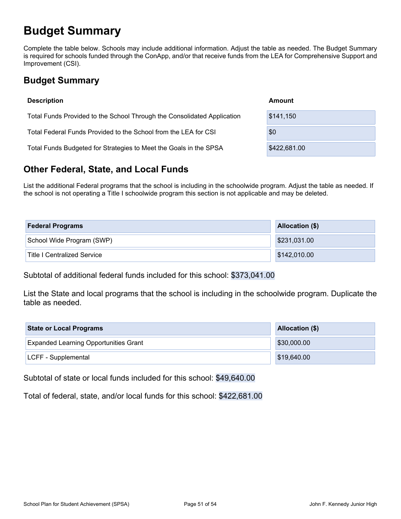# **Budget Summary**

Complete the table below. Schools may include additional information. Adjust the table as needed. The Budget Summary is required for schools funded through the ConApp, and/or that receive funds from the LEA for Comprehensive Support and Improvement (CSI).

## **Budget Summary**

| <b>Description</b>                                                      | Amount       |  |
|-------------------------------------------------------------------------|--------------|--|
| Total Funds Provided to the School Through the Consolidated Application | \$141,150    |  |
| Total Federal Funds Provided to the School from the LEA for CSI         | \$0          |  |
| Total Funds Budgeted for Strategies to Meet the Goals in the SPSA       | \$422,681.00 |  |

## **Other Federal, State, and Local Funds**

List the additional Federal programs that the school is including in the schoolwide program. Adjust the table as needed. If the school is not operating a Title I schoolwide program this section is not applicable and may be deleted.

| <b>Federal Programs</b>            | Allocation (\$) |  |  |
|------------------------------------|-----------------|--|--|
| School Wide Program (SWP)          | \$231,031.00    |  |  |
| <b>Title I Centralized Service</b> | \$142,010.00    |  |  |

Subtotal of additional federal funds included for this school: \$373,041.00

List the State and local programs that the school is including in the schoolwide program. Duplicate the table as needed.

| <b>State or Local Programs</b>               | Allocation (\$) |  |  |
|----------------------------------------------|-----------------|--|--|
| <b>Expanded Learning Opportunities Grant</b> | \$30,000.00     |  |  |
| LCFF - Supplemental                          | \$19,640.00     |  |  |

Subtotal of state or local funds included for this school: \$49,640.00

Total of federal, state, and/or local funds for this school: \$422,681.00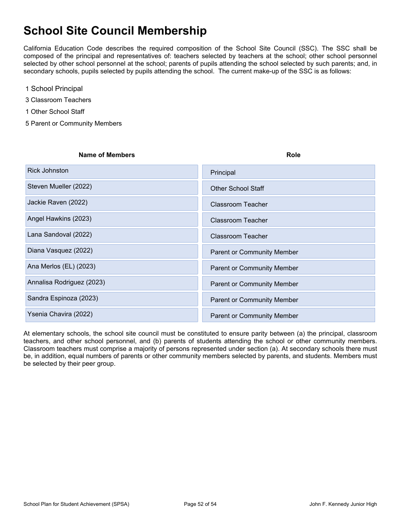# **School Site Council Membership**

California Education Code describes the required composition of the School Site Council (SSC). The SSC shall be composed of the principal and representatives of: teachers selected by teachers at the school; other school personnel selected by other school personnel at the school; parents of pupils attending the school selected by such parents; and, in secondary schools, pupils selected by pupils attending the school. The current make-up of the SSC is as follows:

- 1 School Principal
- 3 Classroom Teachers
- 1 Other School Staff
- 5 Parent or Community Members

| <b>Name of Members</b> | Role |
|------------------------|------|
|                        |      |

| <b>Rick Johnston</b>      | Principal                         |
|---------------------------|-----------------------------------|
| Steven Mueller (2022)     | <b>Other School Staff</b>         |
| Jackie Raven (2022)       | Classroom Teacher                 |
| Angel Hawkins (2023)      | Classroom Teacher                 |
| Lana Sandoval (2022)      | Classroom Teacher                 |
| Diana Vasquez (2022)      | <b>Parent or Community Member</b> |
| Ana Merlos (EL) (2023)    | <b>Parent or Community Member</b> |
| Annalisa Rodriguez (2023) | <b>Parent or Community Member</b> |
| Sandra Espinoza (2023)    | <b>Parent or Community Member</b> |
| Ysenia Chavira (2022)     | <b>Parent or Community Member</b> |

At elementary schools, the school site council must be constituted to ensure parity between (a) the principal, classroom teachers, and other school personnel, and (b) parents of students attending the school or other community members. Classroom teachers must comprise a majority of persons represented under section (a). At secondary schools there must be, in addition, equal numbers of parents or other community members selected by parents, and students. Members must be selected by their peer group.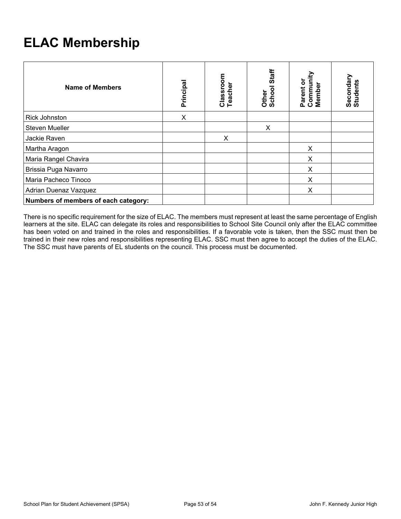# **ELAC Membership**

| Name of Members                      | Principal | Classroom<br>Teacher | Staff<br>Other<br>School | Community<br>Parent or<br>Member | Secondary<br>Students |
|--------------------------------------|-----------|----------------------|--------------------------|----------------------------------|-----------------------|
| <b>Rick Johnston</b>                 | X         |                      |                          |                                  |                       |
| <b>Steven Mueller</b>                |           |                      | X                        |                                  |                       |
| Jackie Raven                         |           | X                    |                          |                                  |                       |
| Martha Aragon                        |           |                      |                          | X                                |                       |
| Maria Rangel Chavira                 |           |                      |                          | X                                |                       |
| Brissia Puga Navarro                 |           |                      |                          | X                                |                       |
| Maria Pacheco Tinoco                 |           |                      |                          | X                                |                       |
| Adrian Duenaz Vazquez                |           |                      |                          | X                                |                       |
| Numbers of members of each category: |           |                      |                          |                                  |                       |

There is no specific requirement for the size of ELAC. The members must represent at least the same percentage of English learners at the site. ELAC can delegate its roles and responsibilities to School Site Council only after the ELAC committee has been voted on and trained in the roles and responsibilities. If a favorable vote is taken, then the SSC must then be trained in their new roles and responsibilities representing ELAC. SSC must then agree to accept the duties of the ELAC. The SSC must have parents of EL students on the council. This process must be documented.